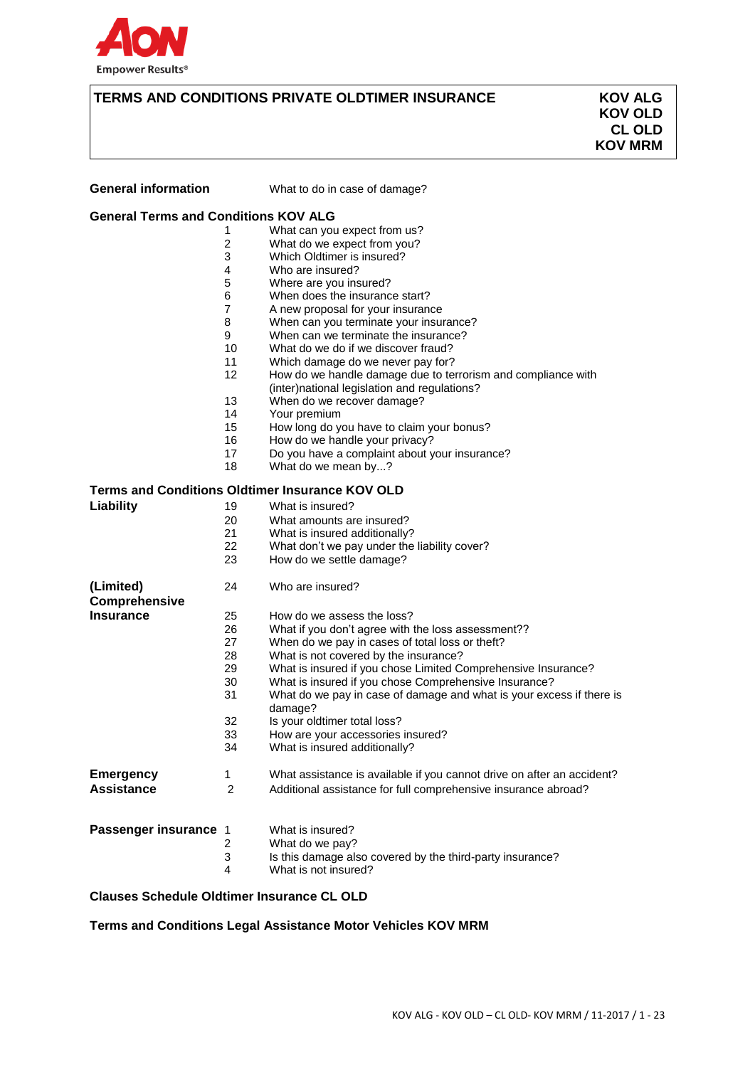

# **TERMS AND CONDITIONS PRIVATE OLDTIMER INSURANCE KOV ALG**

 **KOV OLD CL OLD KOV MRM**

| <b>General information</b>                  |                | What to do in case of damage?                                          |
|---------------------------------------------|----------------|------------------------------------------------------------------------|
| <b>General Terms and Conditions KOV ALG</b> |                |                                                                        |
|                                             | 1              | What can you expect from us?                                           |
|                                             | 2              | What do we expect from you?                                            |
|                                             | 3              | Which Oldtimer is insured?                                             |
|                                             | 4              | Who are insured?                                                       |
|                                             | 5              | Where are you insured?                                                 |
|                                             | 6              | When does the insurance start?                                         |
|                                             | $\overline{7}$ | A new proposal for your insurance                                      |
|                                             | 8              | When can you terminate your insurance?                                 |
|                                             | 9              | When can we terminate the insurance?                                   |
|                                             | 10             | What do we do if we discover fraud?                                    |
|                                             | 11             | Which damage do we never pay for?                                      |
|                                             | 12             | How do we handle damage due to terrorism and compliance with           |
|                                             |                | (inter) national legislation and regulations?                          |
|                                             | 13             | When do we recover damage?                                             |
|                                             | 14             | Your premium                                                           |
|                                             | 15             | How long do you have to claim your bonus?                              |
|                                             | 16             | How do we handle your privacy?                                         |
|                                             | 17             | Do you have a complaint about your insurance?                          |
|                                             | 18             | What do we mean by?                                                    |
|                                             |                | <b>Terms and Conditions Oldtimer Insurance KOV OLD</b>                 |
| Liability                                   | 19             | What is insured?                                                       |
|                                             | 20             | What amounts are insured?                                              |
|                                             | 21             | What is insured additionally?                                          |
|                                             | 22             | What don't we pay under the liability cover?                           |
|                                             | 23             | How do we settle damage?                                               |
| (Limited)                                   | 24             | Who are insured?                                                       |
| <b>Comprehensive</b>                        |                |                                                                        |
| <b>Insurance</b>                            | 25             | How do we assess the loss?                                             |
|                                             | 26             | What if you don't agree with the loss assessment??                     |
|                                             | 27             | When do we pay in cases of total loss or theft?                        |
|                                             | 28             | What is not covered by the insurance?                                  |
|                                             | 29             | What is insured if you chose Limited Comprehensive Insurance?          |
|                                             | 30             | What is insured if you chose Comprehensive Insurance?                  |
|                                             | 31             | What do we pay in case of damage and what is your excess if there is   |
|                                             |                | damage?                                                                |
|                                             | 32             | Is your oldtimer total loss?                                           |
|                                             | 33             | How are your accessories insured?                                      |
|                                             | 34             | What is insured additionally?                                          |
| <b>Emergency</b>                            | 1              | What assistance is available if you cannot drive on after an accident? |
| <b>Assistance</b>                           | 2              | Additional assistance for full comprehensive insurance abroad?         |
|                                             |                |                                                                        |
|                                             |                |                                                                        |
| Passenger insurance 1                       |                | What is insured?                                                       |
|                                             | 2              | What do we pay?                                                        |
|                                             | 3              | Is this damage also covered by the third-party insurance?              |
|                                             | 4              | What is not insured?                                                   |

## **Clauses Schedule Oldtimer Insurance CL OLD**

**Terms and Conditions Legal Assistance Motor Vehicles KOV MRM**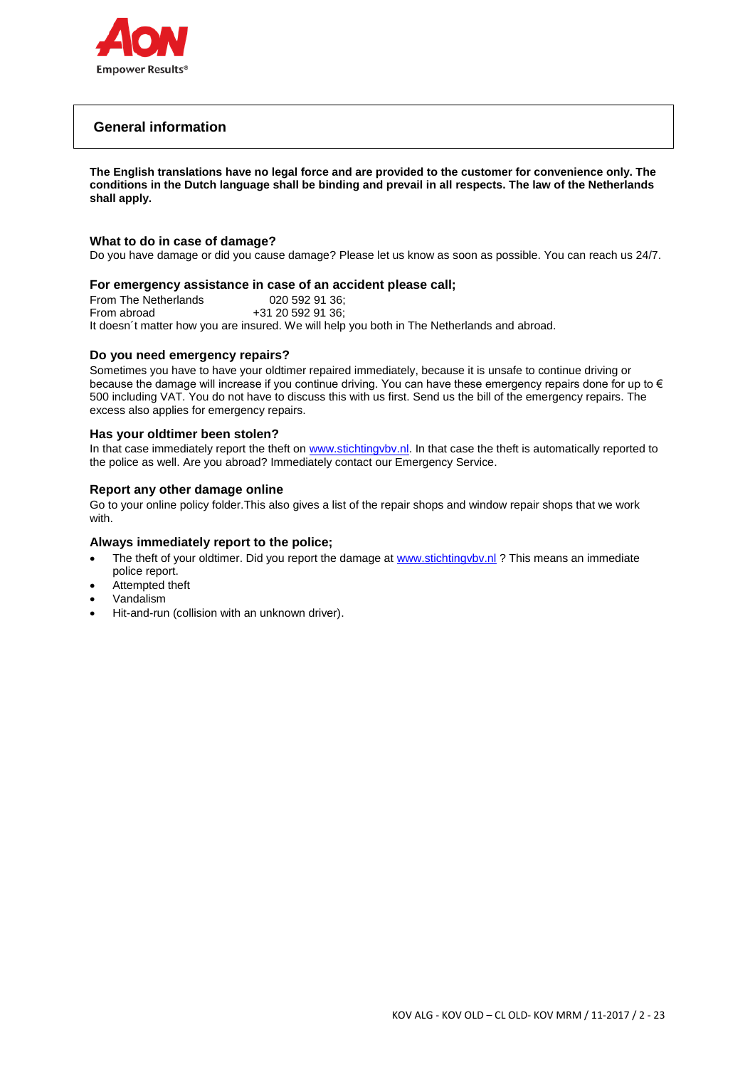

# **General information**

**The English translations have no legal force and are provided to the customer for convenience only. The conditions in the Dutch language shall be binding and prevail in all respects. The law of the Netherlands shall apply.**

### **What to do in case of damage?**

Do you have damage or did you cause damage? Please let us know as soon as possible. You can reach us 24/7.

### **For emergency assistance in case of an accident please call;**

From The Netherlands 020 592 91 36;<br>From abroad +31 20 592 91 36; +31 20 592 91 36; It doesn´t matter how you are insured. We will help you both in The Netherlands and abroad.

### **Do you need emergency repairs?**

Sometimes you have to have your oldtimer repaired immediately, because it is unsafe to continue driving or because the damage will increase if you continue driving. You can have these emergency repairs done for up to € 500 including VAT. You do not have to discuss this with us first. Send us the bill of the emergency repairs. The excess also applies for emergency repairs.

### **Has your oldtimer been stolen?**

In that case immediately report the theft on [www.stichtingvbv.nl.](http://www.stichtingvbv.nl/) In that case the theft is automatically reported to the police as well. Are you abroad? Immediately contact our Emergency Service.

### **Report any other damage online**

Go to your online policy folder.This also gives a list of the repair shops and window repair shops that we work with.

### **Always immediately report to the police;**

- The theft of your oldtimer. Did you report the damage at www.stichtingvbv.nl ? This means an immediate police report.
- Attempted theft
- Vandalism
- Hit-and-run (collision with an unknown driver).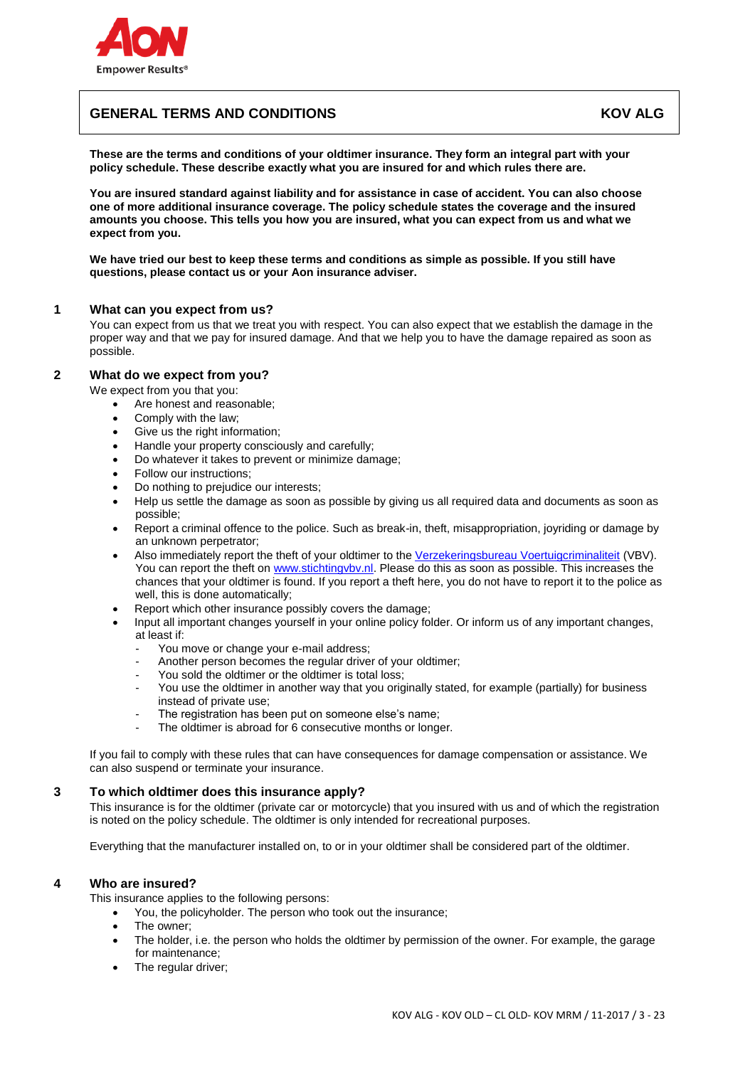

# **GENERAL TERMS AND CONDITIONS AND ALGENT AND ALGENT AND ALGENT AND ALGENT AND ALGENT AND ALGENT AND ALGENT AND**

**These are the terms and conditions of your oldtimer insurance. They form an integral part with your policy schedule. These describe exactly what you are insured for and which rules there are.**

**You are insured standard against liability and for assistance in case of accident. You can also choose one of more additional insurance coverage. The policy schedule states the coverage and the insured amounts you choose. This tells you how you are insured, what you can expect from us and what we expect from you.**

**We have tried our best to keep these terms and conditions as simple as possible. If you still have questions, please contact us or your Aon insurance adviser.**

### **1 What can you expect from us?**

You can expect from us that we treat you with respect. You can also expect that we establish the damage in the proper way and that we pay for insured damage. And that we help you to have the damage repaired as soon as possible.

### **2 What do we expect from you?**

We expect from you that you:

- Are honest and reasonable;
- Comply with the law;
- Give us the right information;
- Handle your property consciously and carefully;
- Do whatever it takes to prevent or minimize damage;
- Follow our instructions;
- Do nothing to prejudice our interests;
- Help us settle the damage as soon as possible by giving us all required data and documents as soon as possible;
- Report a criminal offence to the police. Such as break-in, theft, misappropriation, joyriding or damage by an unknown perpetrator;
- Also immediately report the theft of your oldtimer to the [Verzekeringsbureau Voertuigcriminaliteit](http://www.stichtingvbv.nl/) (VBV). You can report the theft on [www.stichtingvbv.nl.](http://www.stichtingvbv.nl/) Please do this as soon as possible. This increases the chances that your oldtimer is found. If you report a theft here, you do not have to report it to the police as well, this is done automatically;
- Report which other insurance possibly covers the damage;
- Input all important changes yourself in your online policy folder. Or inform us of any important changes, at least if:
	- You move or change your e-mail address;
	- Another person becomes the regular driver of your oldtimer;
	- You sold the oldtimer or the oldtimer is total loss:
	- You use the oldtimer in another way that you originally stated, for example (partially) for business instead of private use;
	- The registration has been put on someone else's name;
	- The oldtimer is abroad for 6 consecutive months or longer.

If you fail to comply with these rules that can have consequences for damage compensation or assistance. We can also suspend or terminate your insurance.

### **3 To which oldtimer does this insurance apply?**

This insurance is for the oldtimer (private car or motorcycle) that you insured with us and of which the registration is noted on the policy schedule. The oldtimer is only intended for recreational purposes.

Everything that the manufacturer installed on, to or in your oldtimer shall be considered part of the oldtimer.

### **4 Who are insured?**

This insurance applies to the following persons:

- You, the policyholder. The person who took out the insurance;
- The owner;
- The holder, i.e. the person who holds the oldtimer by permission of the owner. For example, the garage for maintenance;
- The regular driver;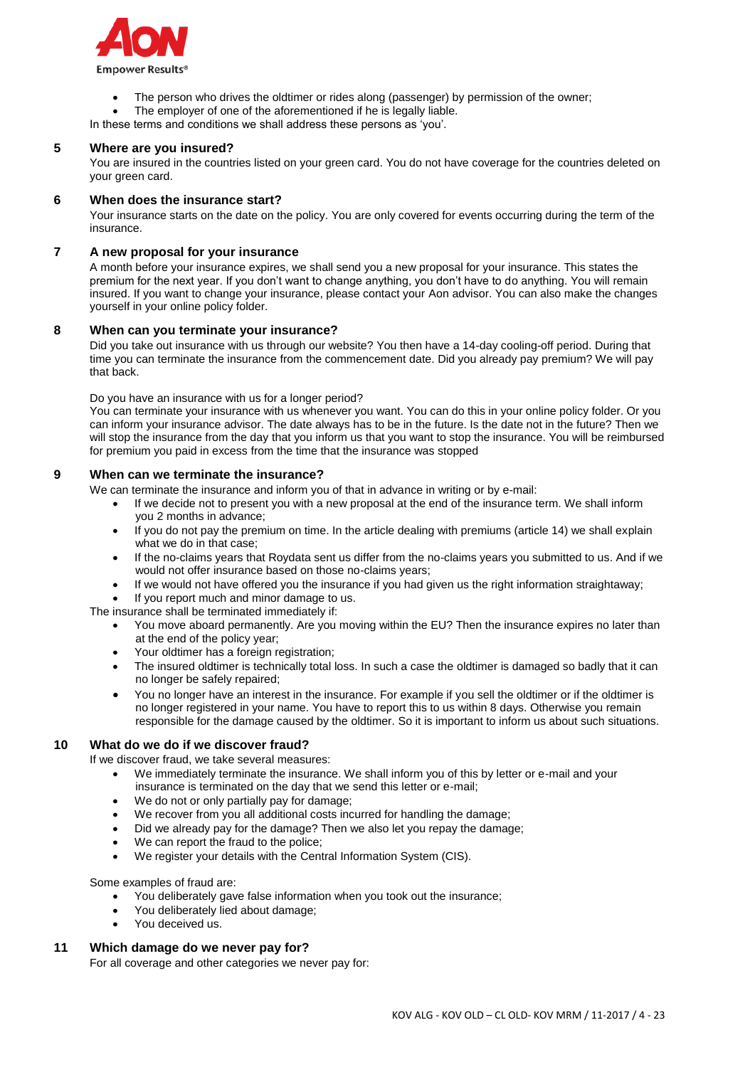

- The person who drives the oldtimer or rides along (passenger) by permission of the owner;
- The employer of one of the aforementioned if he is legally liable.
- In these terms and conditions we shall address these persons as 'you'.

# **5 Where are you insured?**

You are insured in the countries listed on your green card. You do not have coverage for the countries deleted on your green card.

### **6 When does the insurance start?**

Your insurance starts on the date on the policy. You are only covered for events occurring during the term of the insurance.

### **7 A new proposal for your insurance**

A month before your insurance expires, we shall send you a new proposal for your insurance. This states the premium for the next year. If you don't want to change anything, you don't have to do anything. You will remain insured. If you want to change your insurance, please contact your Aon advisor. You can also make the changes yourself in your online policy folder.

### **8 When can you terminate your insurance?**

Did you take out insurance with us through our website? You then have a 14-day cooling-off period. During that time you can terminate the insurance from the commencement date. Did you already pay premium? We will pay that back.

Do you have an insurance with us for a longer period?

You can terminate your insurance with us whenever you want. You can do this in your online policy folder. Or you can inform your insurance advisor. The date always has to be in the future. Is the date not in the future? Then we will stop the insurance from the day that you inform us that you want to stop the insurance. You will be reimbursed for premium you paid in excess from the time that the insurance was stopped

### **9 When can we terminate the insurance?**

We can terminate the insurance and inform you of that in advance in writing or by e-mail:

- If we decide not to present you with a new proposal at the end of the insurance term. We shall inform you 2 months in advance;
- If you do not pay the premium on time. In the article dealing with premiums (article 14) we shall explain what we do in that case;
- If the no-claims years that Roydata sent us differ from the no-claims years you submitted to us. And if we would not offer insurance based on those no-claims years;
- If we would not have offered you the insurance if you had given us the right information straightaway;

If you report much and minor damage to us.

The insurance shall be terminated immediately if:

- You move aboard permanently. Are you moving within the EU? Then the insurance expires no later than at the end of the policy year;
- Your oldtimer has a foreign registration;
- The insured oldtimer is technically total loss. In such a case the oldtimer is damaged so badly that it can no longer be safely repaired;
- You no longer have an interest in the insurance. For example if you sell the oldtimer or if the oldtimer is no longer registered in your name. You have to report this to us within 8 days. Otherwise you remain responsible for the damage caused by the oldtimer. So it is important to inform us about such situations.

### **10 What do we do if we discover fraud?**

If we discover fraud, we take several measures:

- We immediately terminate the insurance. We shall inform you of this by letter or e-mail and your insurance is terminated on the day that we send this letter or e-mail;
- We do not or only partially pay for damage;
- We recover from you all additional costs incurred for handling the damage:
- Did we already pay for the damage? Then we also let you repay the damage;
- We can report the fraud to the police;
- We register your details with the Central Information System (CIS).

Some examples of fraud are:

- You deliberately gave false information when you took out the insurance;
- You deliberately lied about damage:
- You deceived us.

### **11 Which damage do we never pay for?**

For all coverage and other categories we never pay for: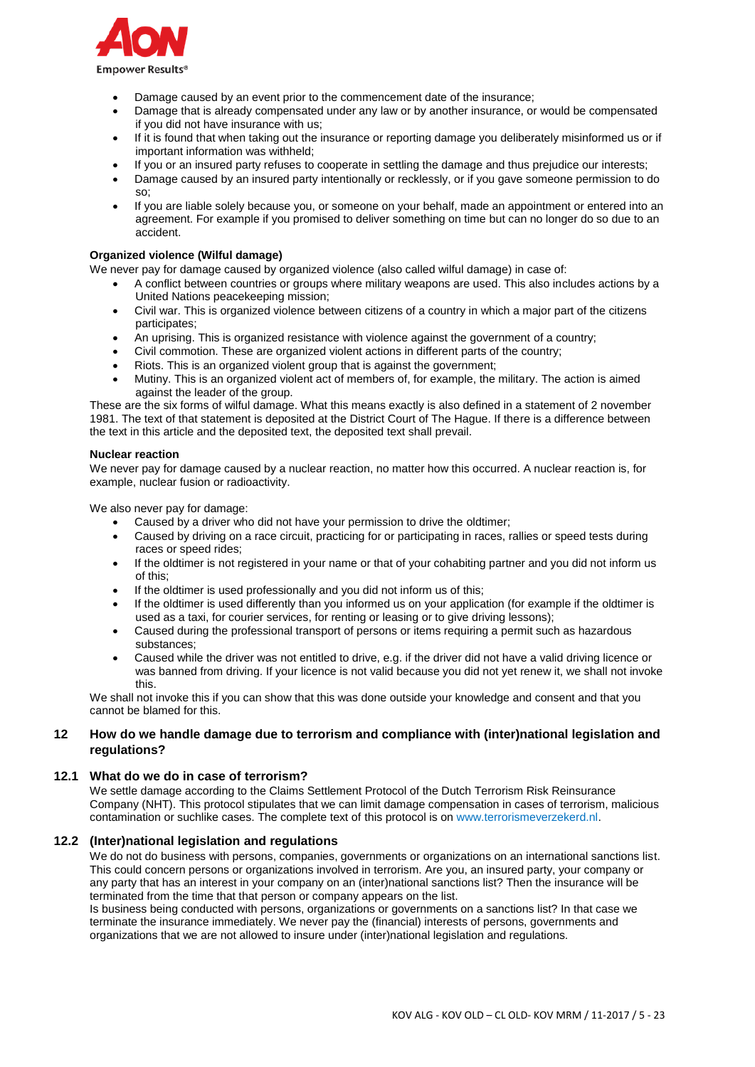

- Damage caused by an event prior to the commencement date of the insurance;
- Damage that is already compensated under any law or by another insurance, or would be compensated if you did not have insurance with us;
- If it is found that when taking out the insurance or reporting damage you deliberately misinformed us or if important information was withheld;
- If you or an insured party refuses to cooperate in settling the damage and thus prejudice our interests;
- Damage caused by an insured party intentionally or recklessly, or if you gave someone permission to do so;
- If you are liable solely because you, or someone on your behalf, made an appointment or entered into an agreement. For example if you promised to deliver something on time but can no longer do so due to an accident.

### **Organized violence (Wilful damage)**

We never pay for damage caused by organized violence (also called wilful damage) in case of:

- A conflict between countries or groups where military weapons are used. This also includes actions by a United Nations peacekeeping mission;
- Civil war. This is organized violence between citizens of a country in which a major part of the citizens participates;
- An uprising. This is organized resistance with violence against the government of a country;
- Civil commotion. These are organized violent actions in different parts of the country;
- Riots. This is an organized violent group that is against the government;
- Mutiny. This is an organized violent act of members of, for example, the military. The action is aimed against the leader of the group.

These are the six forms of wilful damage. What this means exactly is also defined in a statement of 2 november 1981. The text of that statement is deposited at the District Court of The Hague. If there is a difference between the text in this article and the deposited text, the deposited text shall prevail.

#### **Nuclear reaction**

We never pay for damage caused by a nuclear reaction, no matter how this occurred. A nuclear reaction is, for example, nuclear fusion or radioactivity.

We also never pay for damage:

- Caused by a driver who did not have your permission to drive the oldtimer;
- Caused by driving on a race circuit, practicing for or participating in races, rallies or speed tests during races or speed rides;
- If the oldtimer is not registered in your name or that of your cohabiting partner and you did not inform us of this;
- If the oldtimer is used professionally and you did not inform us of this;
- If the oldtimer is used differently than you informed us on your application (for example if the oldtimer is used as a taxi, for courier services, for renting or leasing or to give driving lessons);
- Caused during the professional transport of persons or items requiring a permit such as hazardous substances;
- Caused while the driver was not entitled to drive, e.g. if the driver did not have a valid driving licence or was banned from driving. If your licence is not valid because you did not yet renew it, we shall not invoke this.

We shall not invoke this if you can show that this was done outside your knowledge and consent and that you cannot be blamed for this.

### **12 How do we handle damage due to terrorism and compliance with (inter)national legislation and regulations?**

### **12.1 What do we do in case of terrorism?**

We settle damage according to the Claims Settlement Protocol of the Dutch Terrorism Risk Reinsurance Company (NHT). This protocol stipulates that we can limit damage compensation in cases of terrorism, malicious contamination or suchlike cases. The complete text of this protocol is on [www.terrorismeverzekerd.nl.](http://www.terrorismeverzekerd.nl/)

### **12.2 (Inter)national legislation and regulations**

We do not do business with persons, companies, governments or organizations on an international sanctions list. This could concern persons or organizations involved in terrorism. Are you, an insured party, your company or any party that has an interest in your company on an (inter)national sanctions list? Then the insurance will be terminated from the time that that person or company appears on the list.

Is business being conducted with persons, organizations or governments on a sanctions list? In that case we terminate the insurance immediately. We never pay the (financial) interests of persons, governments and organizations that we are not allowed to insure under (inter)national legislation and regulations.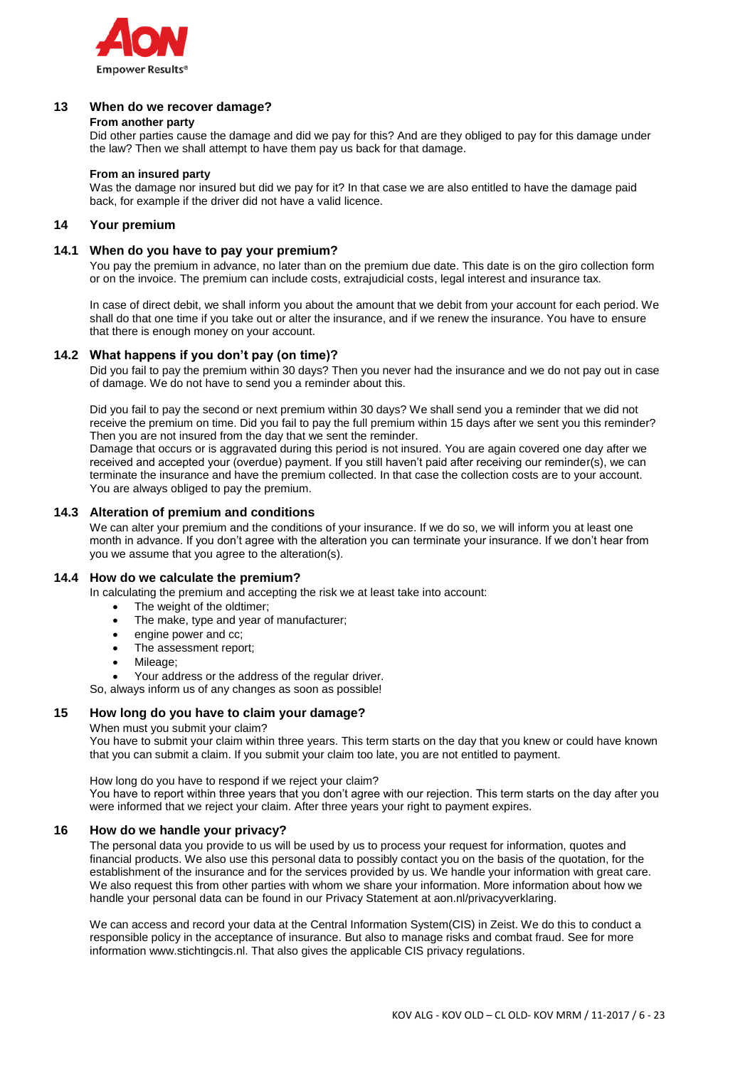

### **13 When do we recover damage?**

#### **From another party**

Did other parties cause the damage and did we pay for this? And are they obliged to pay for this damage under the law? Then we shall attempt to have them pay us back for that damage.

### **From an insured party**

Was the damage nor insured but did we pay for it? In that case we are also entitled to have the damage paid back, for example if the driver did not have a valid licence.

### **14 Your premium**

### **14.1 When do you have to pay your premium?**

You pay the premium in advance, no later than on the premium due date. This date is on the giro collection form or on the invoice. The premium can include costs, extrajudicial costs, legal interest and insurance tax.

In case of direct debit, we shall inform you about the amount that we debit from your account for each period. We shall do that one time if you take out or alter the insurance, and if we renew the insurance. You have to ensure that there is enough money on your account.

### **14.2 What happens if you don't pay (on time)?**

Did you fail to pay the premium within 30 days? Then you never had the insurance and we do not pay out in case of damage. We do not have to send you a reminder about this.

Did you fail to pay the second or next premium within 30 days? We shall send you a reminder that we did not receive the premium on time. Did you fail to pay the full premium within 15 days after we sent you this reminder? Then you are not insured from the day that we sent the reminder.

Damage that occurs or is aggravated during this period is not insured. You are again covered one day after we received and accepted your (overdue) payment. If you still haven't paid after receiving our reminder(s), we can terminate the insurance and have the premium collected. In that case the collection costs are to your account. You are always obliged to pay the premium.

### **14.3 Alteration of premium and conditions**

We can alter your premium and the conditions of your insurance. If we do so, we will inform you at least one month in advance. If you don't agree with the alteration you can terminate your insurance. If we don't hear from you we assume that you agree to the alteration(s).

# **14.4 How do we calculate the premium?**

In calculating the premium and accepting the risk we at least take into account:

- The weight of the oldtimer;
- The make, type and year of manufacturer;
- engine power and cc;
- The assessment report;
- Mileage:

Your address or the address of the regular driver.

So, always inform us of any changes as soon as possible!

# **15 How long do you have to claim your damage?**

When must you submit your claim?

You have to submit your claim within three years. This term starts on the day that you knew or could have known that you can submit a claim. If you submit your claim too late, you are not entitled to payment.

How long do you have to respond if we reject your claim? You have to report within three years that you don't agree with our rejection. This term starts on the day after you were informed that we reject your claim. After three years your right to payment expires.

### **16 How do we handle your privacy?**

The personal data you provide to us will be used by us to process your request for information, quotes and financial products. We also use this personal data to possibly contact you on the basis of the quotation, for the establishment of the insurance and for the services provided by us. We handle your information with great care. We also request this from other parties with whom we share your information. More information about how we handle your personal data can be found in our Privacy Statement at aon.nl/privacyverklaring.

We can access and record your data at the Central Information System(CIS) in Zeist. We do this to conduct a responsible policy in the acceptance of insurance. But also to manage risks and combat fraud. See for more information www.stichtingcis.nl. That also gives the applicable CIS privacy regulations.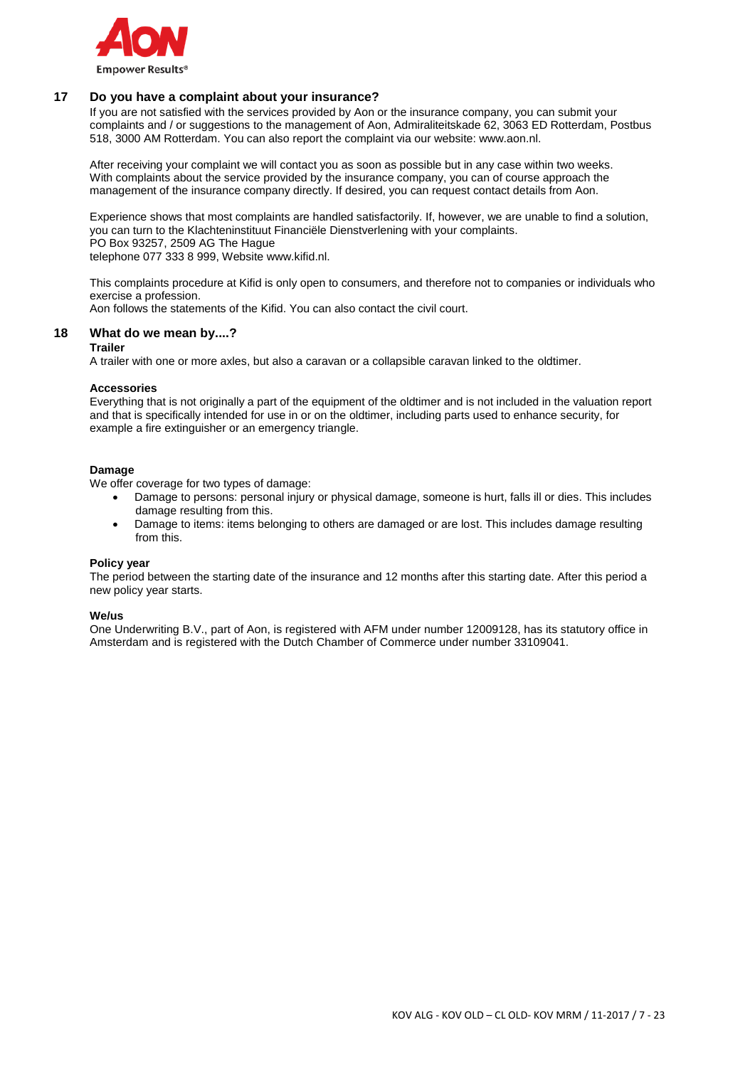

### **17 Do you have a complaint about your insurance?**

If you are not satisfied with the services provided by Aon or the insurance company, you can submit your complaints and / or suggestions to the management of Aon, Admiraliteitskade 62, 3063 ED Rotterdam, Postbus 518, 3000 AM Rotterdam. You can also report the complaint via our website: www.aon.nl.

After receiving your complaint we will contact you as soon as possible but in any case within two weeks. With complaints about the service provided by the insurance company, you can of course approach the management of the insurance company directly. If desired, you can request contact details from Aon.

Experience shows that most complaints are handled satisfactorily. If, however, we are unable to find a solution, you can turn to the Klachteninstituut Financiële Dienstverlening with your complaints. PO Box 93257, 2509 AG The Hague telephone 077 333 8 999, Website www.kifid.nl.

This complaints procedure at Kifid is only open to consumers, and therefore not to companies or individuals who exercise a profession.

Aon follows the statements of the Kifid. You can also contact the civil court.

### **18 What do we mean by....?**

#### **Trailer**

A trailer with one or more axles, but also a caravan or a collapsible caravan linked to the oldtimer.

#### **Accessories**

Everything that is not originally a part of the equipment of the oldtimer and is not included in the valuation report and that is specifically intended for use in or on the oldtimer, including parts used to enhance security, for example a fire extinguisher or an emergency triangle.

#### **Damage**

We offer coverage for two types of damage:

- Damage to persons: personal injury or physical damage, someone is hurt, falls ill or dies. This includes damage resulting from this.
- Damage to items: items belonging to others are damaged or are lost. This includes damage resulting from this.

#### **Policy year**

The period between the starting date of the insurance and 12 months after this starting date. After this period a new policy year starts.

#### **We/us**

One Underwriting B.V., part of Aon, is registered with AFM under number 12009128, has its statutory office in Amsterdam and is registered with the Dutch Chamber of Commerce under number 33109041.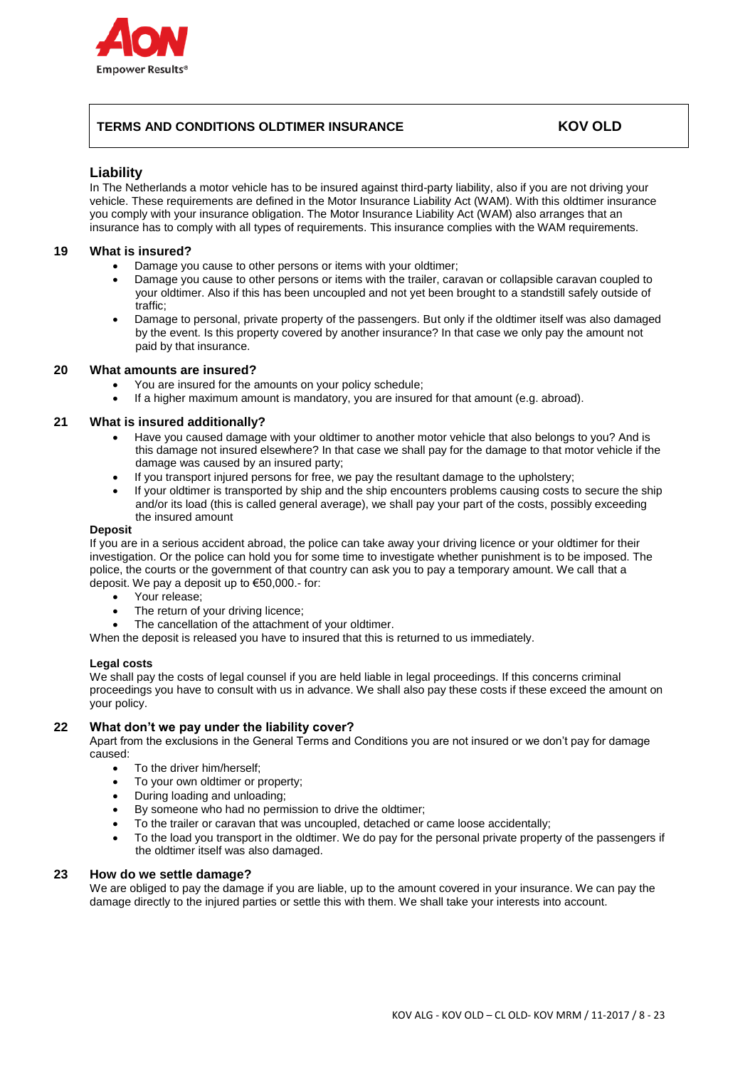

# **TERMS AND CONDITIONS OLDTIMER INSURANCE KOV OLD**

## **Liability**

In The Netherlands a motor vehicle has to be insured against third-party liability, also if you are not driving your vehicle. These requirements are defined in the Motor Insurance Liability Act (WAM). With this oldtimer insurance you comply with your insurance obligation. The Motor Insurance Liability Act (WAM) also arranges that an insurance has to comply with all types of requirements. This insurance complies with the WAM requirements.

### **19 What is insured?**

- Damage you cause to other persons or items with your oldtimer;
- Damage you cause to other persons or items with the trailer, caravan or collapsible caravan coupled to your oldtimer. Also if this has been uncoupled and not yet been brought to a standstill safely outside of traffic;
- Damage to personal, private property of the passengers. But only if the oldtimer itself was also damaged by the event. Is this property covered by another insurance? In that case we only pay the amount not paid by that insurance.

### **20 What amounts are insured?**

- You are insured for the amounts on your policy schedule;
- If a higher maximum amount is mandatory, you are insured for that amount (e.g. abroad).

### **21 What is insured additionally?**

- Have you caused damage with your oldtimer to another motor vehicle that also belongs to you? And is this damage not insured elsewhere? In that case we shall pay for the damage to that motor vehicle if the damage was caused by an insured party;
- If you transport injured persons for free, we pay the resultant damage to the upholstery;
- If your oldtimer is transported by ship and the ship encounters problems causing costs to secure the ship and/or its load (this is called general average), we shall pay your part of the costs, possibly exceeding the insured amount

#### **Deposit**

If you are in a serious accident abroad, the police can take away your driving licence or your oldtimer for their investigation. Or the police can hold you for some time to investigate whether punishment is to be imposed. The police, the courts or the government of that country can ask you to pay a temporary amount. We call that a deposit. We pay a deposit up to €50,000.- for:

- Your release;
- The return of your driving licence;
- The cancellation of the attachment of your oldtimer.
- When the deposit is released you have to insured that this is returned to us immediately.

#### **Legal costs**

We shall pay the costs of legal counsel if you are held liable in legal proceedings. If this concerns criminal proceedings you have to consult with us in advance. We shall also pay these costs if these exceed the amount on your policy.

### **22 What don't we pay under the liability cover?**

Apart from the exclusions in the General Terms and Conditions you are not insured or we don't pay for damage caused:

- To the driver him/herself;
- To your own oldtimer or property;
- During loading and unloading;
- By someone who had no permission to drive the oldtimer;
- To the trailer or caravan that was uncoupled, detached or came loose accidentally;
- To the load you transport in the oldtimer. We do pay for the personal private property of the passengers if the oldtimer itself was also damaged.

#### **23 How do we settle damage?**

We are obliged to pay the damage if you are liable, up to the amount covered in your insurance. We can pay the damage directly to the injured parties or settle this with them. We shall take your interests into account.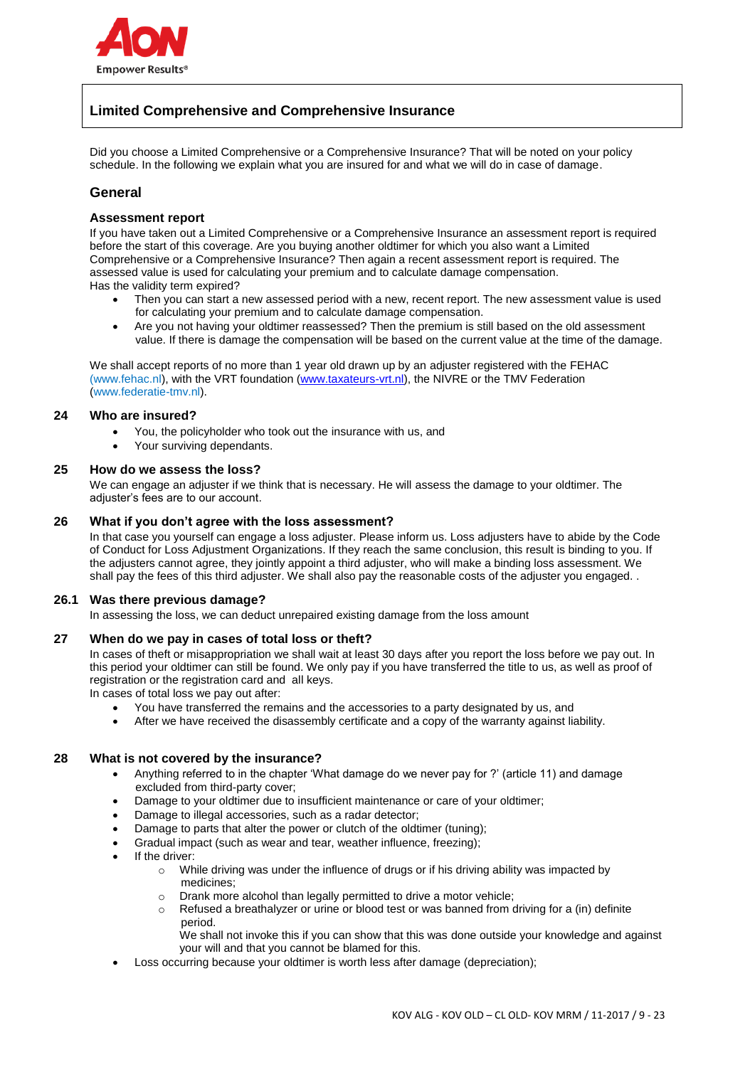

# **Limited Comprehensive and Comprehensive Insurance**

Did you choose a Limited Comprehensive or a Comprehensive Insurance? That will be noted on your policy schedule. In the following we explain what you are insured for and what we will do in case of damage.

# **General**

### **Assessment report**

If you have taken out a Limited Comprehensive or a Comprehensive Insurance an assessment report is required before the start of this coverage. Are you buying another oldtimer for which you also want a Limited Comprehensive or a Comprehensive Insurance? Then again a recent assessment report is required. The assessed value is used for calculating your premium and to calculate damage compensation. Has the validity term expired?

- Then you can start a new assessed period with a new, recent report. The new assessment value is used for calculating your premium and to calculate damage compensation.
- Are you not having your oldtimer reassessed? Then the premium is still based on the old assessment value. If there is damage the compensation will be based on the current value at the time of the damage.

We shall accept reports of no more than 1 year old drawn up by an adjuster registered with the FEHAC (www.fehac.nl), with the VRT foundation [\(www.taxateurs-vrt.nl\)](http://www.taxateurs-vrt.nl/), the NIVRE or the TMV Federation (www.federatie-tmv.nl).

### **24 Who are insured?**

- You, the policyholder who took out the insurance with us, and
- Your surviving dependants.

### **25 How do we assess the loss?**

We can engage an adjuster if we think that is necessary. He will assess the damage to your oldtimer. The adjuster's fees are to our account.

### **26 What if you don't agree with the loss assessment?**

In that case you yourself can engage a loss adjuster. Please inform us. Loss adjusters have to abide by the Code of Conduct for Loss Adjustment Organizations. If they reach the same conclusion, this result is binding to you. If the adjusters cannot agree, they jointly appoint a third adjuster, who will make a binding loss assessment. We shall pay the fees of this third adjuster. We shall also pay the reasonable costs of the adjuster you engaged. .

#### **26.1 Was there previous damage?**

In assessing the loss, we can deduct unrepaired existing damage from the loss amount

### **27 When do we pay in cases of total loss or theft?**

In cases of theft or misappropriation we shall wait at least 30 days after you report the loss before we pay out. In this period your oldtimer can still be found. We only pay if you have transferred the title to us, as well as proof of registration or the registration card and all keys.

In cases of total loss we pay out after:

- You have transferred the remains and the accessories to a party designated by us, and
- After we have received the disassembly certificate and a copy of the warranty against liability.

### **28 What is not covered by the insurance?**

- Anything referred to in the chapter 'What damage do we never pay for ?' (article 11) and damage excluded from third-party cover;
- Damage to your oldtimer due to insufficient maintenance or care of your oldtimer;
- Damage to illegal accessories, such as a radar detector;
- Damage to parts that alter the power or clutch of the oldtimer (tuning);
- Gradual impact (such as wear and tear, weather influence, freezing);
- If the driver:
	- o While driving was under the influence of drugs or if his driving ability was impacted by medicines;
	- o Drank more alcohol than legally permitted to drive a motor vehicle;
	- $\circ$  Refused a breathalyzer or urine or blood test or was banned from driving for a (in) definite period.
		- We shall not invoke this if you can show that this was done outside your knowledge and against your will and that you cannot be blamed for this.
- Loss occurring because your oldtimer is worth less after damage (depreciation);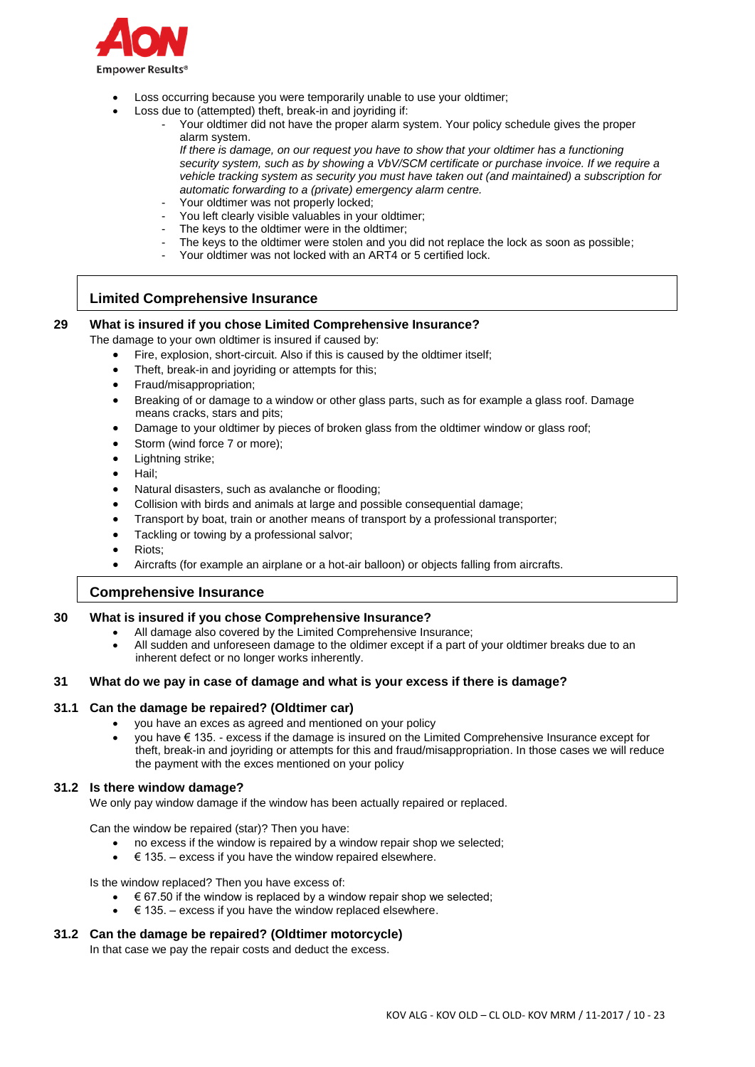

- Loss occurring because you were temporarily unable to use your oldtimer;
- Loss due to (attempted) theft, break-in and joyriding if:
	- Your oldtimer did not have the proper alarm system. Your policy schedule gives the proper alarm system.
		- *If there is damage, on our request you have to show that your oldtimer has a functioning security system, such as by showing a VbV/SCM certificate or purchase invoice. If we require a vehicle tracking system as security you must have taken out (and maintained) a subscription for automatic forwarding to a (private) emergency alarm centre.*
	- Your oldtimer was not properly locked;
	- You left clearly visible valuables in your oldtimer;
	- The keys to the oldtimer were in the oldtimer;
	- The keys to the oldtimer were stolen and you did not replace the lock as soon as possible;
	- Your oldtimer was not locked with an ART4 or 5 certified lock.

# **Limited Comprehensive Insurance**

### **29 What is insured if you chose Limited Comprehensive Insurance?**

The damage to your own oldtimer is insured if caused by:

- Fire, explosion, short-circuit. Also if this is caused by the oldtimer itself;
- Theft, break-in and joyriding or attempts for this;
- Fraud/misappropriation;
- Breaking of or damage to a window or other glass parts, such as for example a glass roof. Damage means cracks, stars and pits;
- Damage to your oldtimer by pieces of broken glass from the oldtimer window or glass roof;
- Storm (wind force 7 or more);
- Lightning strike;
- Hail;
- Natural disasters, such as avalanche or flooding;
- Collision with birds and animals at large and possible consequential damage;
- Transport by boat, train or another means of transport by a professional transporter;
- Tackling or towing by a professional salvor;
- Riots;
- Aircrafts (for example an airplane or a hot-air balloon) or objects falling from aircrafts.

# **Comprehensive Insurance**

### **30 What is insured if you chose Comprehensive Insurance?**

- All damage also covered by the Limited Comprehensive Insurance;
- All sudden and unforeseen damage to the oldimer except if a part of your oldtimer breaks due to an inherent defect or no longer works inherently.

### **31 What do we pay in case of damage and what is your excess if there is damage?**

### **31.1 Can the damage be repaired? (Oldtimer car)**

- you have an exces as agreed and mentioned on your policy
- you have € 135. excess if the damage is insured on the Limited Comprehensive Insurance except for theft, break-in and joyriding or attempts for this and fraud/misappropriation. In those cases we will reduce the payment with the exces mentioned on your policy

### **31.2 Is there window damage?**

We only pay window damage if the window has been actually repaired or replaced.

Can the window be repaired (star)? Then you have:

- no excess if the window is repaired by a window repair shop we selected;
- $\bullet$   $\in$  135. excess if you have the window repaired elsewhere.

Is the window replaced? Then you have excess of:

- $\epsilon$  67.50 if the window is replaced by a window repair shop we selected;
- $\epsilon$  135. excess if you have the window replaced elsewhere.

### **31.2 Can the damage be repaired? (Oldtimer motorcycle)**

In that case we pay the repair costs and deduct the excess.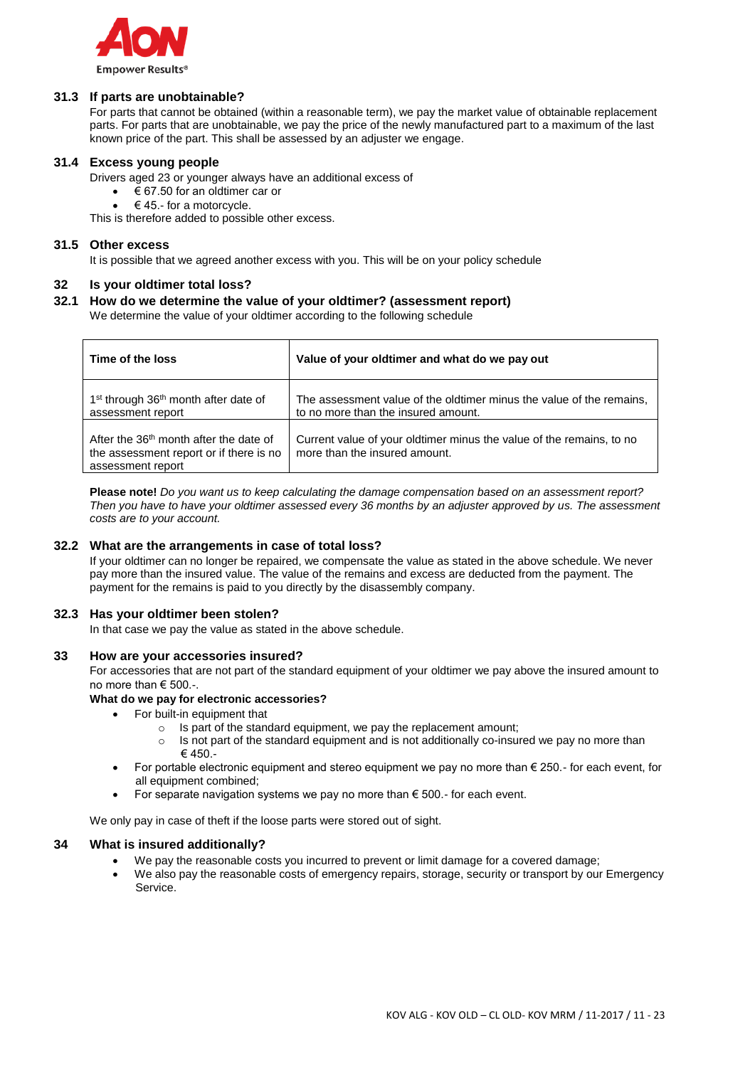

## **31.3 If parts are unobtainable?**

For parts that cannot be obtained (within a reasonable term), we pay the market value of obtainable replacement parts. For parts that are unobtainable, we pay the price of the newly manufactured part to a maximum of the last known price of the part. This shall be assessed by an adjuster we engage.

### **31.4 Excess young people**

Drivers aged 23 or younger always have an additional excess of

- € 67.50 for an oldtimer car or
- $\bullet \quad \in 45.$  for a motorcycle.

This is therefore added to possible other excess.

### **31.5 Other excess**

It is possible that we agreed another excess with you. This will be on your policy schedule

### **32 Is your oldtimer total loss?**

## **32.1 How do we determine the value of your oldtimer? (assessment report)**

We determine the value of your oldtimer according to the following schedule

| Time of the loss                                                                                         | Value of your oldtimer and what do we pay out                                                               |
|----------------------------------------------------------------------------------------------------------|-------------------------------------------------------------------------------------------------------------|
| 1 <sup>st</sup> through 36 <sup>th</sup> month after date of<br>assessment report                        | The assessment value of the oldtimer minus the value of the remains,<br>to no more than the insured amount. |
| After the $36th$ month after the date of<br>the assessment report or if there is no<br>assessment report | Current value of your oldtimer minus the value of the remains, to no<br>more than the insured amount.       |

**Please note!** *Do you want us to keep calculating the damage compensation based on an assessment report? Then you have to have your oldtimer assessed every 36 months by an adjuster approved by us. The assessment costs are to your account.*

### **32.2 What are the arrangements in case of total loss?**

If your oldtimer can no longer be repaired, we compensate the value as stated in the above schedule. We never pay more than the insured value. The value of the remains and excess are deducted from the payment. The payment for the remains is paid to you directly by the disassembly company.

#### **32.3 Has your oldtimer been stolen?**

In that case we pay the value as stated in the above schedule.

#### **33 How are your accessories insured?**

For accessories that are not part of the standard equipment of your oldtimer we pay above the insured amount to no more than € 500.-.

#### **What do we pay for electronic accessories?**

- For built-in equipment that
	- o Is part of the standard equipment, we pay the replacement amount;
	- $\circ$  Is not part of the standard equipment and is not additionally co-insured we pay no more than € 450.-
- For portable electronic equipment and stereo equipment we pay no more than  $\epsilon$  250.- for each event, for all equipment combined;
- For separate navigation systems we pay no more than  $\epsilon$  500.- for each event.

We only pay in case of theft if the loose parts were stored out of sight.

### **34 What is insured additionally?**

- We pay the reasonable costs you incurred to prevent or limit damage for a covered damage;
- We also pay the reasonable costs of emergency repairs, storage, security or transport by our Emergency Service.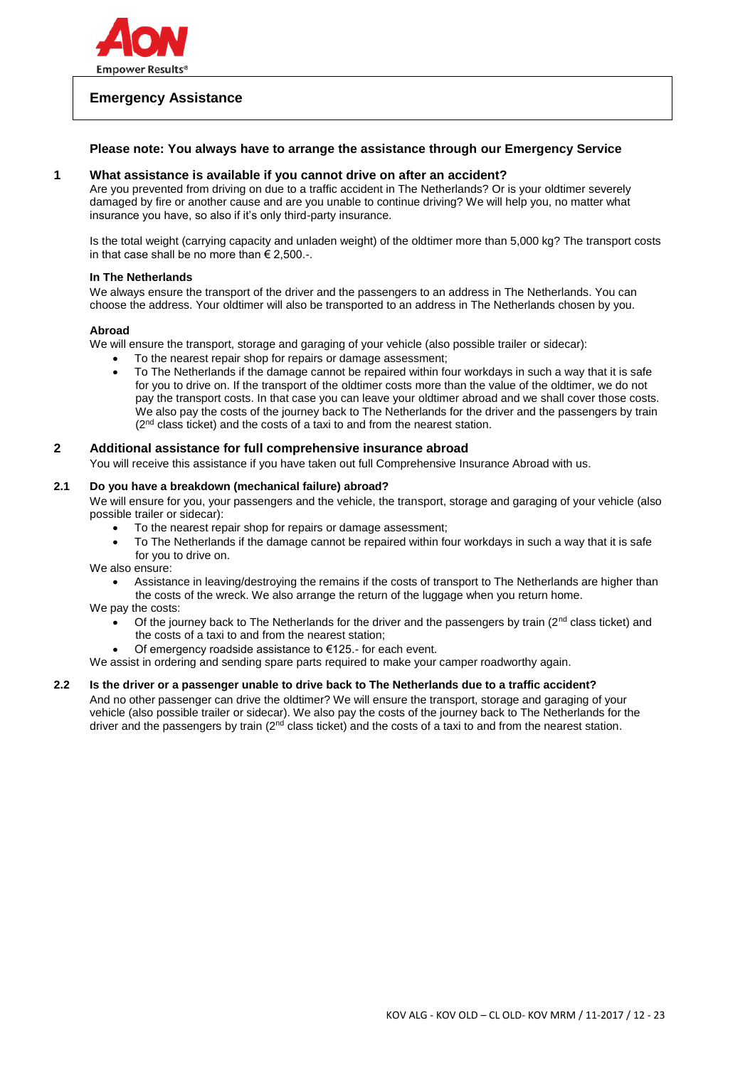

# **Emergency Assistance**

## **Please note: You always have to arrange the assistance through our Emergency Service**

#### **1 What assistance is available if you cannot drive on after an accident?**

Are you prevented from driving on due to a traffic accident in The Netherlands? Or is your oldtimer severely damaged by fire or another cause and are you unable to continue driving? We will help you, no matter what insurance you have, so also if it's only third-party insurance.

Is the total weight (carrying capacity and unladen weight) of the oldtimer more than 5,000 kg? The transport costs in that case shall be no more than  $\epsilon$  2,500.-.

### **In The Netherlands**

We always ensure the transport of the driver and the passengers to an address in The Netherlands. You can choose the address. Your oldtimer will also be transported to an address in The Netherlands chosen by you.

### **Abroad**

We will ensure the transport, storage and garaging of your vehicle (also possible trailer or sidecar):

- To the nearest repair shop for repairs or damage assessment;
- To The Netherlands if the damage cannot be repaired within four workdays in such a way that it is safe for you to drive on. If the transport of the oldtimer costs more than the value of the oldtimer, we do not pay the transport costs. In that case you can leave your oldtimer abroad and we shall cover those costs. We also pay the costs of the journey back to The Netherlands for the driver and the passengers by train (2<sup>nd</sup> class ticket) and the costs of a taxi to and from the nearest station.

### **2 Additional assistance for full comprehensive insurance abroad**

You will receive this assistance if you have taken out full Comprehensive Insurance Abroad with us.

#### **2.1 Do you have a breakdown (mechanical failure) abroad?**

We will ensure for you, your passengers and the vehicle, the transport, storage and garaging of your vehicle (also possible trailer or sidecar):

- To the nearest repair shop for repairs or damage assessment;
- To The Netherlands if the damage cannot be repaired within four workdays in such a way that it is safe for you to drive on.

We also ensure:

 Assistance in leaving/destroying the remains if the costs of transport to The Netherlands are higher than the costs of the wreck. We also arrange the return of the luggage when you return home.

We pay the costs:

- Of the journey back to The Netherlands for the driver and the passengers by train ( $2<sup>nd</sup>$  class ticket) and the costs of a taxi to and from the nearest station;
	- Of emergency roadside assistance to €125.- for each event.
- We assist in ordering and sending spare parts required to make your camper roadworthy again.

### **2.2 Is the driver or a passenger unable to drive back to The Netherlands due to a traffic accident?**

And no other passenger can drive the oldtimer? We will ensure the transport, storage and garaging of your vehicle (also possible trailer or sidecar). We also pay the costs of the journey back to The Netherlands for the driver and the passengers by train  $(2^{nd}$  class ticket) and the costs of a taxi to and from the nearest station.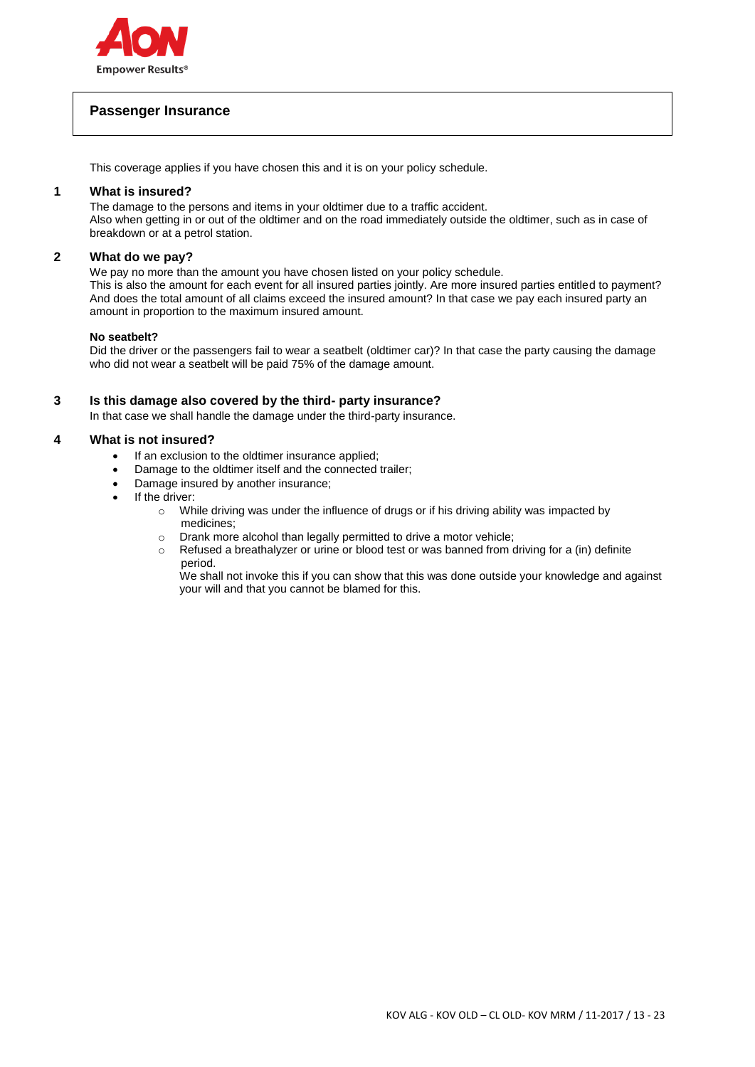

# **Passenger Insurance**

This coverage applies if you have chosen this and it is on your policy schedule.

### **1 What is insured?**

The damage to the persons and items in your oldtimer due to a traffic accident. Also when getting in or out of the oldtimer and on the road immediately outside the oldtimer, such as in case of breakdown or at a petrol station.

### **2 What do we pay?**

We pay no more than the amount you have chosen listed on your policy schedule. This is also the amount for each event for all insured parties jointly. Are more insured parties entitled to payment? And does the total amount of all claims exceed the insured amount? In that case we pay each insured party an amount in proportion to the maximum insured amount.

#### **No seatbelt?**

Did the driver or the passengers fail to wear a seatbelt (oldtimer car)? In that case the party causing the damage who did not wear a seatbelt will be paid 75% of the damage amount.

### **3 Is this damage also covered by the third- party insurance?**

In that case we shall handle the damage under the third-party insurance.

### **4 What is not insured?**

- If an exclusion to the oldtimer insurance applied;
- Damage to the oldtimer itself and the connected trailer;
- Damage insured by another insurance;
- If the driver:
	- o While driving was under the influence of drugs or if his driving ability was impacted by medicines;
	- o Drank more alcohol than legally permitted to drive a motor vehicle;
	- $\circ$  Refused a breathalyzer or urine or blood test or was banned from driving for a (in) definite period.

We shall not invoke this if you can show that this was done outside your knowledge and against your will and that you cannot be blamed for this.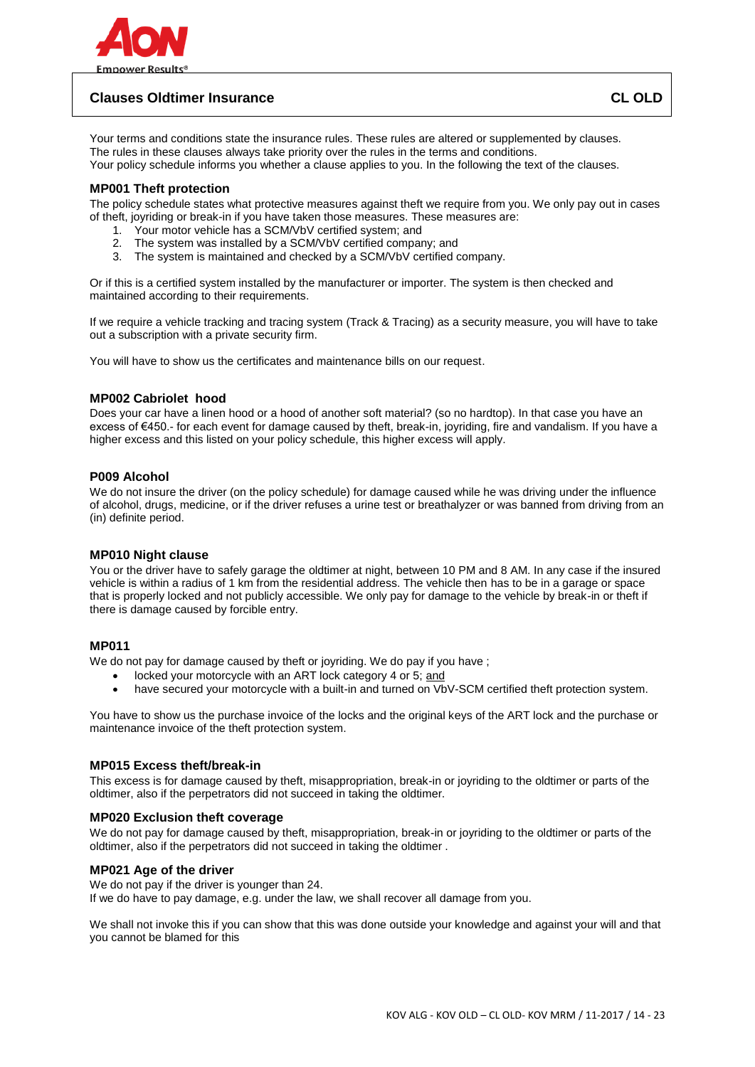

# **Clauses Oldtimer Insurance CL OLD**

Your terms and conditions state the insurance rules. These rules are altered or supplemented by clauses. The rules in these clauses always take priority over the rules in the terms and conditions. Your policy schedule informs you whether a clause applies to you. In the following the text of the clauses.

### **MP001 Theft protection**

The policy schedule states what protective measures against theft we require from you. We only pay out in cases of theft, joyriding or break-in if you have taken those measures. These measures are:

- 1. Your motor vehicle has a SCM/VbV certified system; and
- 2. The system was installed by a SCM/VbV certified company; and
- 3. The system is maintained and checked by a SCM/VbV certified company.

Or if this is a certified system installed by the manufacturer or importer. The system is then checked and maintained according to their requirements.

If we require a vehicle tracking and tracing system (Track & Tracing) as a security measure, you will have to take out a subscription with a private security firm.

You will have to show us the certificates and maintenance bills on our request.

### **MP002 Cabriolet hood**

Does your car have a linen hood or a hood of another soft material? (so no hardtop). In that case you have an excess of €450.- for each event for damage caused by theft, break-in, joyriding, fire and vandalism. If you have a higher excess and this listed on your policy schedule, this higher excess will apply.

### **P009 Alcohol**

We do not insure the driver (on the policy schedule) for damage caused while he was driving under the influence of alcohol, drugs, medicine, or if the driver refuses a urine test or breathalyzer or was banned from driving from an (in) definite period.

#### **MP010 Night clause**

You or the driver have to safely garage the oldtimer at night, between 10 PM and 8 AM. In any case if the insured vehicle is within a radius of 1 km from the residential address. The vehicle then has to be in a garage or space that is properly locked and not publicly accessible. We only pay for damage to the vehicle by break-in or theft if there is damage caused by forcible entry.

## **MP011**

We do not pay for damage caused by theft or joyriding. We do pay if you have ;

- locked your motorcycle with an ART lock category 4 or 5; and
- have secured your motorcycle with a built-in and turned on VbV-SCM certified theft protection system.

You have to show us the purchase invoice of the locks and the original keys of the ART lock and the purchase or maintenance invoice of the theft protection system.

### **MP015 Excess theft/break-in**

This excess is for damage caused by theft, misappropriation, break-in or joyriding to the oldtimer or parts of the oldtimer, also if the perpetrators did not succeed in taking the oldtimer.

#### **MP020 Exclusion theft coverage**

We do not pay for damage caused by theft, misappropriation, break-in or joyriding to the oldtimer or parts of the oldtimer, also if the perpetrators did not succeed in taking the oldtimer .

### **MP021 Age of the driver**

We do not pay if the driver is younger than 24.

If we do have to pay damage, e.g. under the law, we shall recover all damage from you.

We shall not invoke this if you can show that this was done outside your knowledge and against your will and that you cannot be blamed for this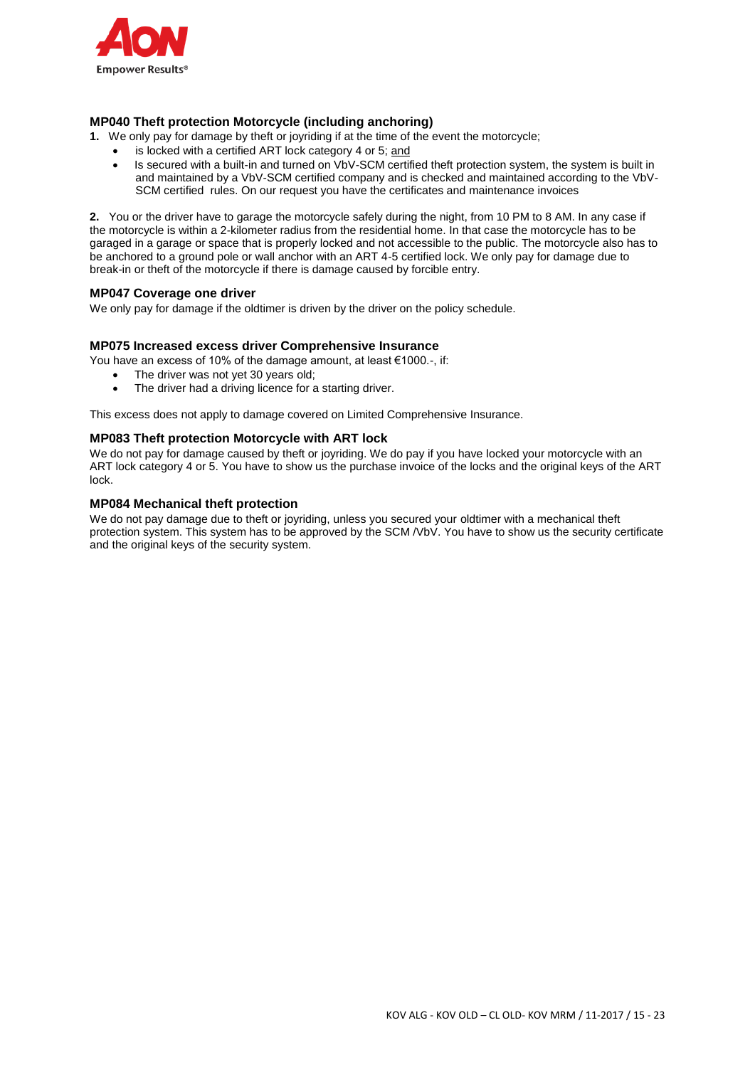

# **MP040 Theft protection Motorcycle (including anchoring)**

**1.** We only pay for damage by theft or joyriding if at the time of the event the motorcycle;

- is locked with a certified ART lock category 4 or 5; and
	- Is secured with a built-in and turned on VbV-SCM certified theft protection system, the system is built in and maintained by a VbV-SCM certified company and is checked and maintained according to the VbV-SCM certified rules. On our request you have the certificates and maintenance invoices

**2.** You or the driver have to garage the motorcycle safely during the night, from 10 PM to 8 AM. In any case if the motorcycle is within a 2-kilometer radius from the residential home. In that case the motorcycle has to be garaged in a garage or space that is properly locked and not accessible to the public. The motorcycle also has to be anchored to a ground pole or wall anchor with an ART 4-5 certified lock. We only pay for damage due to break-in or theft of the motorcycle if there is damage caused by forcible entry.

### **MP047 Coverage one driver**

We only pay for damage if the oldtimer is driven by the driver on the policy schedule.

### **MP075 Increased excess driver Comprehensive Insurance**

You have an excess of 10% of the damage amount, at least €1000.-, if:

- The driver was not yet 30 years old;
- The driver had a driving licence for a starting driver.

This excess does not apply to damage covered on Limited Comprehensive Insurance.

### **MP083 Theft protection Motorcycle with ART lock**

We do not pay for damage caused by theft or joyriding. We do pay if you have locked your motorcycle with an ART lock category 4 or 5. You have to show us the purchase invoice of the locks and the original keys of the ART lock.

### **MP084 Mechanical theft protection**

We do not pay damage due to theft or joyriding, unless you secured your oldtimer with a mechanical theft protection system. This system has to be approved by the SCM /VbV. You have to show us the security certificate and the original keys of the security system.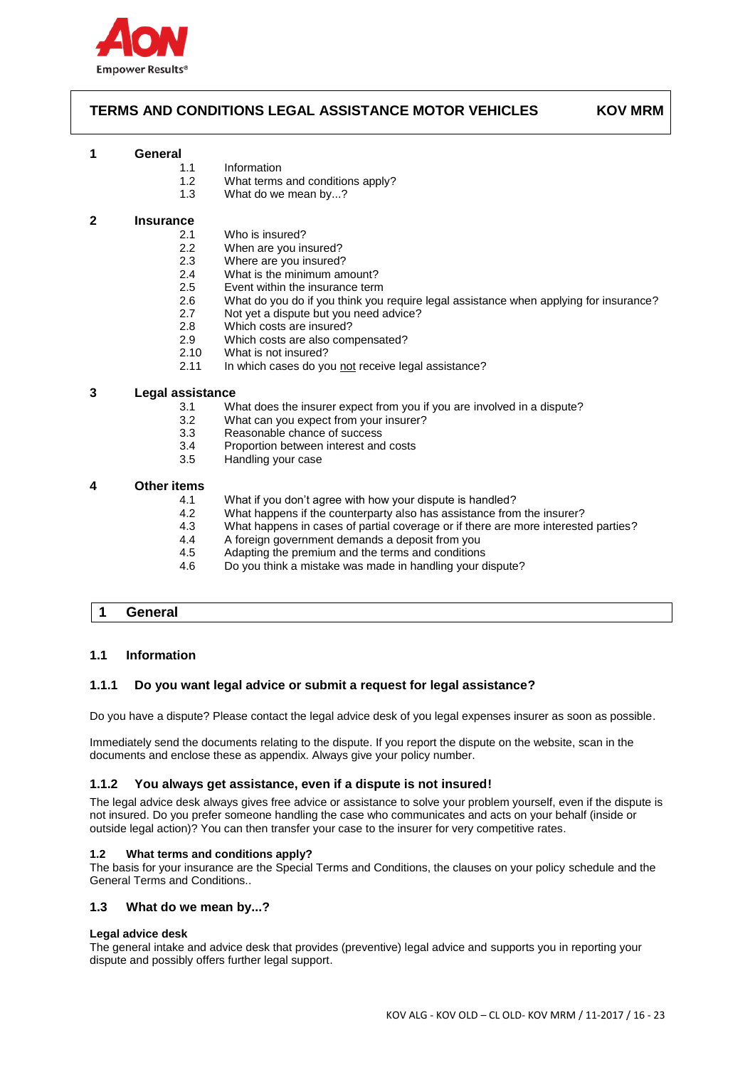

# **TERMS AND CONDITIONS LEGAL ASSISTANCE MOTOR VEHICLES KOV MRM**

#### **1 General**

- 1.1 Information
- 1.2 What terms and conditions apply?
- 1.3 What do we mean by...?

### **2 Insurance**

- 2.1 Who is insured?
- 2.2 When are you insured?<br>2.3 Where are you insured?
- Where are you insured?
- 2.4 What is the minimum amount?
- 2.5 Event within the insurance term<br>2.6 What do you do if you think you
- 2.6 What do you do if you think you require legal assistance when applying for insurance?
- 2.7 Not yet a dispute but you need advice?
- 2.8 Which costs are insured?
- 2.9 Which costs are also compensated?<br>2.10 What is not insured?
- 2.10 What is not insured?<br>2.11 In which cases do yo
- In which cases do you not receive legal assistance?

### **3 Legal assistance**

- 3.1 What does the insurer expect from you if you are involved in a dispute?
- 3.2 What can you expect from your insurer?
- 3.3 Reasonable chance of success
- 3.4 Proportion between interest and costs
- 3.5 Handling your case

### **4 Other items**

- 4.1 What if you don't agree with how your dispute is handled?
- 4.2 What happens if the counterparty also has assistance from the insurer?
- 4.3 What happens in cases of partial coverage or if there are more interested parties?
- 4.4 A foreign government demands a deposit from you<br>4.5 Adapting the premium and the terms and conditions
- Adapting the premium and the terms and conditions
- 4.6 Do you think a mistake was made in handling your dispute?

### **1 General**

#### **1.1 Information**

### **1.1.1 Do you want legal advice or submit a request for legal assistance?**

Do you have a dispute? Please contact the legal advice desk of you legal expenses insurer as soon as possible.

Immediately send the documents relating to the dispute. If you report the dispute on the website, scan in the documents and enclose these as appendix. Always give your policy number.

#### **1.1.2 You always get assistance, even if a dispute is not insured!**

The legal advice desk always gives free advice or assistance to solve your problem yourself, even if the dispute is not insured. Do you prefer someone handling the case who communicates and acts on your behalf (inside or outside legal action)? You can then transfer your case to the insurer for very competitive rates.

#### **1.2 What terms and conditions apply?**

The basis for your insurance are the Special Terms and Conditions, the clauses on your policy schedule and the General Terms and Conditions..

### **1.3 What do we mean by...?**

#### **Legal advice desk**

The general intake and advice desk that provides (preventive) legal advice and supports you in reporting your dispute and possibly offers further legal support.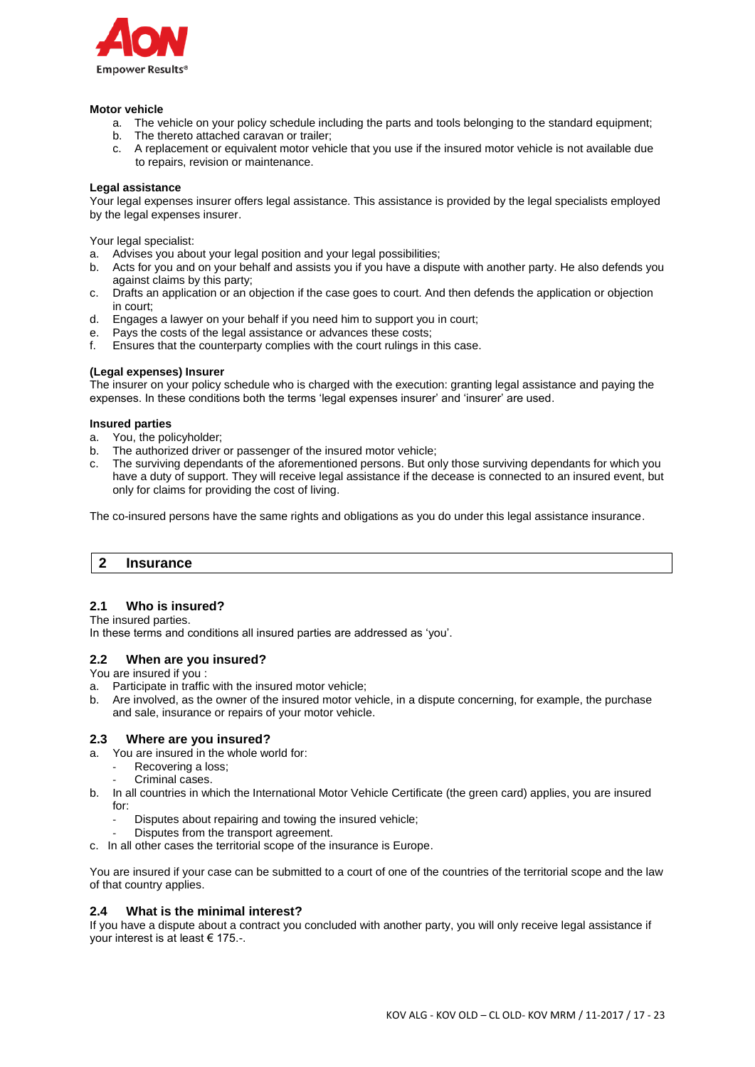

#### **Motor vehicle**

- a. The vehicle on your policy schedule including the parts and tools belonging to the standard equipment;
- b. The thereto attached caravan or trailer;
- c. A replacement or equivalent motor vehicle that you use if the insured motor vehicle is not available due to repairs, revision or maintenance.

### **Legal assistance**

Your legal expenses insurer offers legal assistance. This assistance is provided by the legal specialists employed by the legal expenses insurer.

Your legal specialist:

- a. Advises you about your legal position and your legal possibilities;
- b. Acts for you and on your behalf and assists you if you have a dispute with another party. He also defends you against claims by this party;
- c. Drafts an application or an objection if the case goes to court. And then defends the application or objection in court;
- d. Engages a lawyer on your behalf if you need him to support you in court;
- e. Pays the costs of the legal assistance or advances these costs;
- f. Ensures that the counterparty complies with the court rulings in this case.

### **(Legal expenses) Insurer**

The insurer on your policy schedule who is charged with the execution: granting legal assistance and paying the expenses. In these conditions both the terms 'legal expenses insurer' and 'insurer' are used.

### **Insured parties**

- a. You, the policyholder;
- b. The authorized driver or passenger of the insured motor vehicle;
- c. The surviving dependants of the aforementioned persons. But only those surviving dependants for which you have a duty of support. They will receive legal assistance if the decease is connected to an insured event, but only for claims for providing the cost of living.

The co-insured persons have the same rights and obligations as you do under this legal assistance insurance.

# **2 Insurance**

# **2.1 Who is insured?**

The insured parties.

In these terms and conditions all insured parties are addressed as 'you'.

### **2.2 When are you insured?**

You are insured if you :

- a. Participate in traffic with the insured motor vehicle;
- b. Are involved, as the owner of the insured motor vehicle, in a dispute concerning, for example, the purchase and sale, insurance or repairs of your motor vehicle.

### **2.3 Where are you insured?**

- a. You are insured in the whole world for:
	- Recovering a loss;
	- Criminal cases.
- b. In all countries in which the International Motor Vehicle Certificate (the green card) applies, you are insured for:
	- Disputes about repairing and towing the insured vehicle;
	- Disputes from the transport agreement.
- c. In all other cases the territorial scope of the insurance is Europe.

You are insured if your case can be submitted to a court of one of the countries of the territorial scope and the law of that country applies.

### **2.4 What is the minimal interest?**

If you have a dispute about a contract you concluded with another party, you will only receive legal assistance if your interest is at least € 175.-.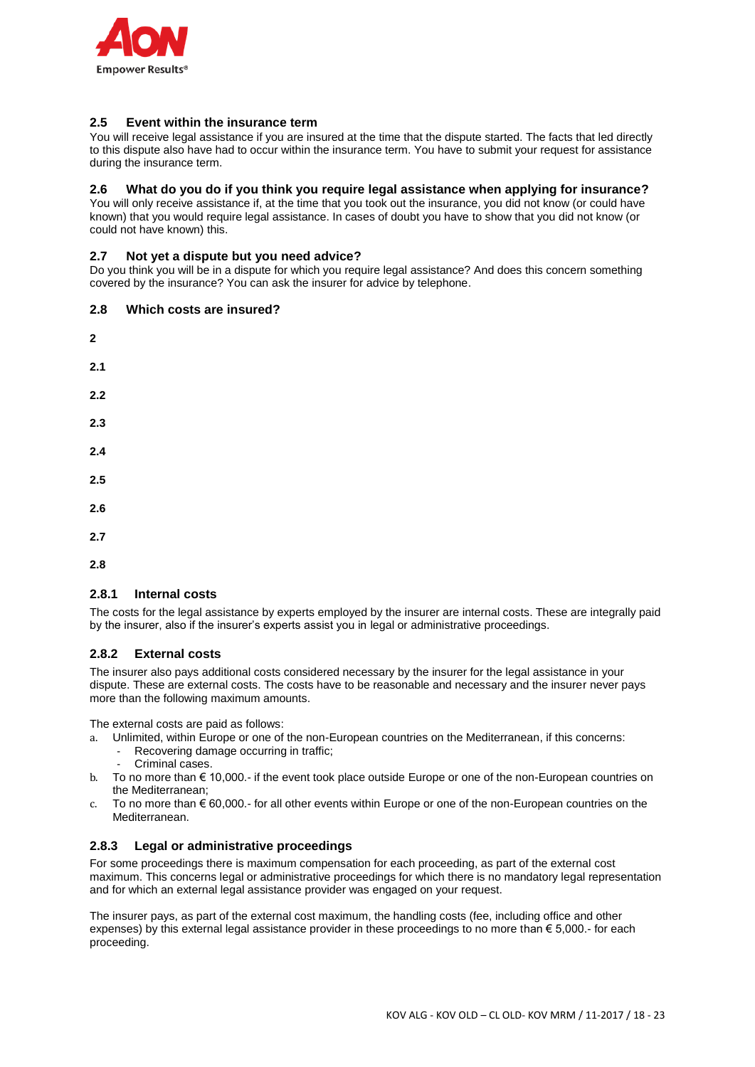

## **2.5 Event within the insurance term**

You will receive legal assistance if you are insured at the time that the dispute started. The facts that led directly to this dispute also have had to occur within the insurance term. You have to submit your request for assistance during the insurance term.

## **2.6 What do you do if you think you require legal assistance when applying for insurance?**

You will only receive assistance if, at the time that you took out the insurance, you did not know (or could have known) that you would require legal assistance. In cases of doubt you have to show that you did not know (or could not have known) this.

## **2.7 Not yet a dispute but you need advice?**

Do you think you will be in a dispute for which you require legal assistance? And does this concern something covered by the insurance? You can ask the insurer for advice by telephone.

### **2.8 Which costs are insured?**

- **2 2.1 2.2 2.3 2.4 2.5 2.6 2.7**
- **2.8**

### **2.8.1 Internal costs**

The costs for the legal assistance by experts employed by the insurer are internal costs. These are integrally paid by the insurer, also if the insurer's experts assist you in legal or administrative proceedings.

# **2.8.2 External costs**

The insurer also pays additional costs considered necessary by the insurer for the legal assistance in your dispute. These are external costs. The costs have to be reasonable and necessary and the insurer never pays more than the following maximum amounts.

The external costs are paid as follows:

- a. Unlimited, within Europe or one of the non-European countries on the Mediterranean, if this concerns:
	- Recovering damage occurring in traffic;
	- Criminal cases.
- b. To no more than € 10,000.- if the event took place outside Europe or one of the non-European countries on the Mediterranean;
- c. To no more than  $\epsilon$  60,000.- for all other events within Europe or one of the non-European countries on the Mediterranean.

### **2.8.3 Legal or administrative proceedings**

For some proceedings there is maximum compensation for each proceeding, as part of the external cost maximum. This concerns legal or administrative proceedings for which there is no mandatory legal representation and for which an external legal assistance provider was engaged on your request.

The insurer pays, as part of the external cost maximum, the handling costs (fee, including office and other expenses) by this external legal assistance provider in these proceedings to no more than € 5,000.- for each proceeding.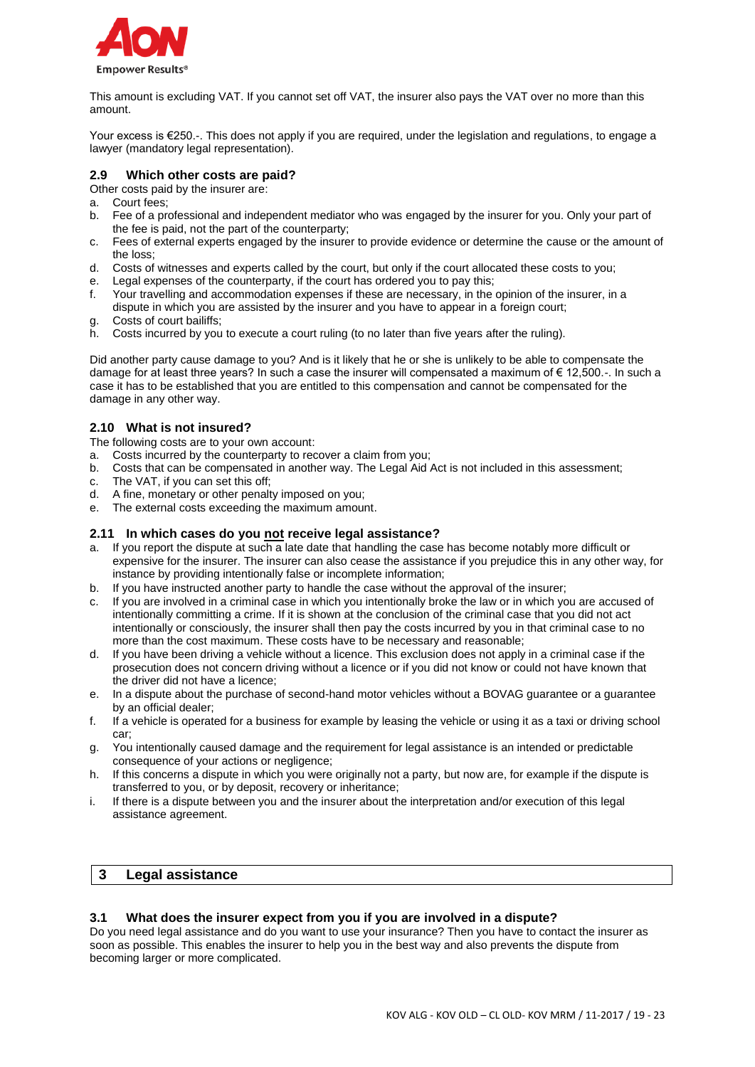

This amount is excluding VAT. If you cannot set off VAT, the insurer also pays the VAT over no more than this amount.

Your excess is €250.-. This does not apply if you are required, under the legislation and regulations, to engage a lawyer (mandatory legal representation).

### **2.9 Which other costs are paid?**

Other costs paid by the insurer are:

- a. Court fees;
- b. Fee of a professional and independent mediator who was engaged by the insurer for you. Only your part of the fee is paid, not the part of the counterparty;
- c. Fees of external experts engaged by the insurer to provide evidence or determine the cause or the amount of the loss;
- d. Costs of witnesses and experts called by the court, but only if the court allocated these costs to you;
- e. Legal expenses of the counterparty, if the court has ordered you to pay this;
- f. Your travelling and accommodation expenses if these are necessary, in the opinion of the insurer, in a dispute in which you are assisted by the insurer and you have to appear in a foreign court;
- g. Costs of court bailiffs;
- h. Costs incurred by you to execute a court ruling (to no later than five years after the ruling).

Did another party cause damage to you? And is it likely that he or she is unlikely to be able to compensate the damage for at least three years? In such a case the insurer will compensated a maximum of € 12,500.-. In such a case it has to be established that you are entitled to this compensation and cannot be compensated for the damage in any other way.

## **2.10 What is not insured?**

The following costs are to your own account:

- a. Costs incurred by the counterparty to recover a claim from you;
- b. Costs that can be compensated in another way. The Legal Aid Act is not included in this assessment;
- c. The VAT, if you can set this off;
- d. A fine, monetary or other penalty imposed on you;
- e. The external costs exceeding the maximum amount.

### **2.11 In which cases do you not receive legal assistance?**

- a. If you report the dispute at such a late date that handling the case has become notably more difficult or expensive for the insurer. The insurer can also cease the assistance if you prejudice this in any other way, for instance by providing intentionally false or incomplete information;
- b. If you have instructed another party to handle the case without the approval of the insurer;
- c. If you are involved in a criminal case in which you intentionally broke the law or in which you are accused of intentionally committing a crime. If it is shown at the conclusion of the criminal case that you did not act intentionally or consciously, the insurer shall then pay the costs incurred by you in that criminal case to no more than the cost maximum. These costs have to be necessary and reasonable;
- d. If you have been driving a vehicle without a licence. This exclusion does not apply in a criminal case if the prosecution does not concern driving without a licence or if you did not know or could not have known that the driver did not have a licence;
- e. In a dispute about the purchase of second-hand motor vehicles without a BOVAG guarantee or a guarantee by an official dealer;
- f. If a vehicle is operated for a business for example by leasing the vehicle or using it as a taxi or driving school car;
- g. You intentionally caused damage and the requirement for legal assistance is an intended or predictable consequence of your actions or negligence;
- h. If this concerns a dispute in which you were originally not a party, but now are, for example if the dispute is transferred to you, or by deposit, recovery or inheritance;
- i. If there is a dispute between you and the insurer about the interpretation and/or execution of this legal assistance agreement.

# **3 Legal assistance**

### **3.1 What does the insurer expect from you if you are involved in a dispute?**

Do you need legal assistance and do you want to use your insurance? Then you have to contact the insurer as soon as possible. This enables the insurer to help you in the best way and also prevents the dispute from becoming larger or more complicated.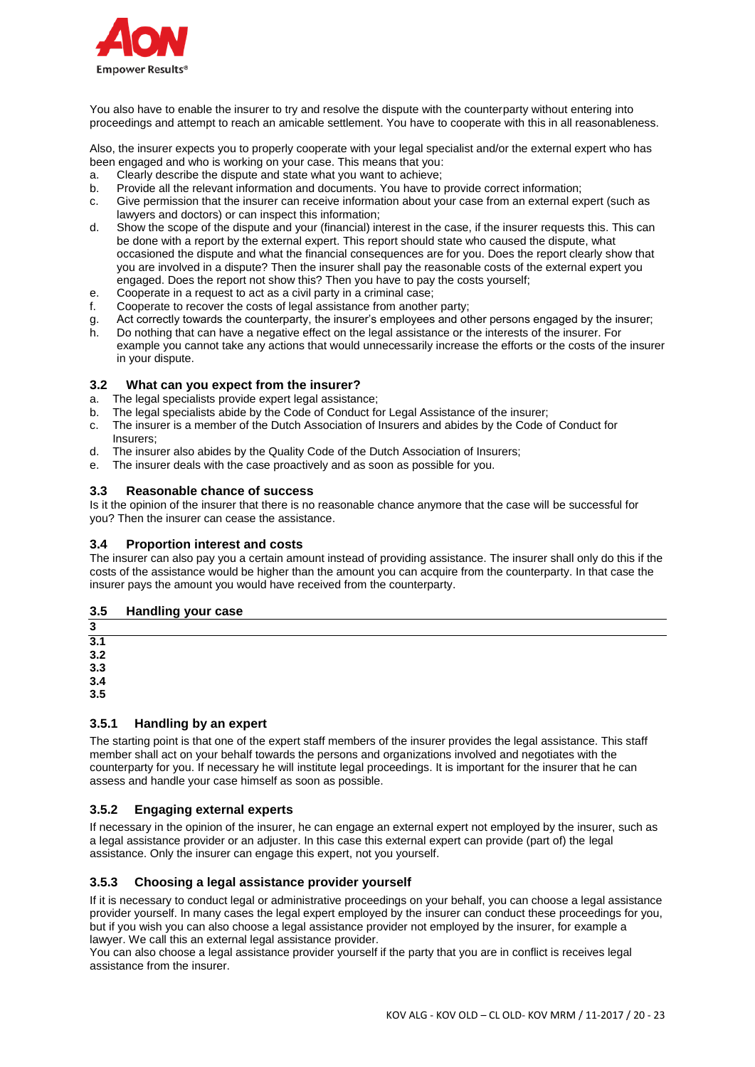

You also have to enable the insurer to try and resolve the dispute with the counterparty without entering into proceedings and attempt to reach an amicable settlement. You have to cooperate with this in all reasonableness.

Also, the insurer expects you to properly cooperate with your legal specialist and/or the external expert who has been engaged and who is working on your case. This means that you:

- a. Clearly describe the dispute and state what you want to achieve;
- b. Provide all the relevant information and documents. You have to provide correct information;
- c. Give permission that the insurer can receive information about your case from an external expert (such as lawyers and doctors) or can inspect this information;
- d. Show the scope of the dispute and your (financial) interest in the case, if the insurer requests this. This can be done with a report by the external expert. This report should state who caused the dispute, what occasioned the dispute and what the financial consequences are for you. Does the report clearly show that you are involved in a dispute? Then the insurer shall pay the reasonable costs of the external expert you engaged. Does the report not show this? Then you have to pay the costs yourself;
- e. Cooperate in a request to act as a civil party in a criminal case;
- f. Cooperate to recover the costs of legal assistance from another party;
- g. Act correctly towards the counterparty, the insurer's employees and other persons engaged by the insurer;
- h. Do nothing that can have a negative effect on the legal assistance or the interests of the insurer. For example you cannot take any actions that would unnecessarily increase the efforts or the costs of the insurer in your dispute.

### **3.2 What can you expect from the insurer?**

- a. The legal specialists provide expert legal assistance:
- b. The legal specialists abide by the Code of Conduct for Legal Assistance of the insurer;
- c. The insurer is a member of the Dutch Association of Insurers and abides by the Code of Conduct for Insurers;
- d. The insurer also abides by the Quality Code of the Dutch Association of Insurers;
- e. The insurer deals with the case proactively and as soon as possible for you.

### **3.3 Reasonable chance of success**

Is it the opinion of the insurer that there is no reasonable chance anymore that the case will be successful for you? Then the insurer can cease the assistance.

### **3.4 Proportion interest and costs**

The insurer can also pay you a certain amount instead of providing assistance. The insurer shall only do this if the costs of the assistance would be higher than the amount you can acquire from the counterparty. In that case the insurer pays the amount you would have received from the counterparty.

#### **3.5 Handling your case**

**3 3.1 3.2 3.3**

**3.4**

**3.5**

### **3.5.1 Handling by an expert**

The starting point is that one of the expert staff members of the insurer provides the legal assistance. This staff member shall act on your behalf towards the persons and organizations involved and negotiates with the counterparty for you. If necessary he will institute legal proceedings. It is important for the insurer that he can assess and handle your case himself as soon as possible.

### **3.5.2 Engaging external experts**

If necessary in the opinion of the insurer, he can engage an external expert not employed by the insurer, such as a legal assistance provider or an adjuster. In this case this external expert can provide (part of) the legal assistance. Only the insurer can engage this expert, not you yourself.

### **3.5.3 Choosing a legal assistance provider yourself**

If it is necessary to conduct legal or administrative proceedings on your behalf, you can choose a legal assistance provider yourself. In many cases the legal expert employed by the insurer can conduct these proceedings for you, but if you wish you can also choose a legal assistance provider not employed by the insurer, for example a lawyer. We call this an external legal assistance provider.

You can also choose a legal assistance provider yourself if the party that you are in conflict is receives legal assistance from the insurer.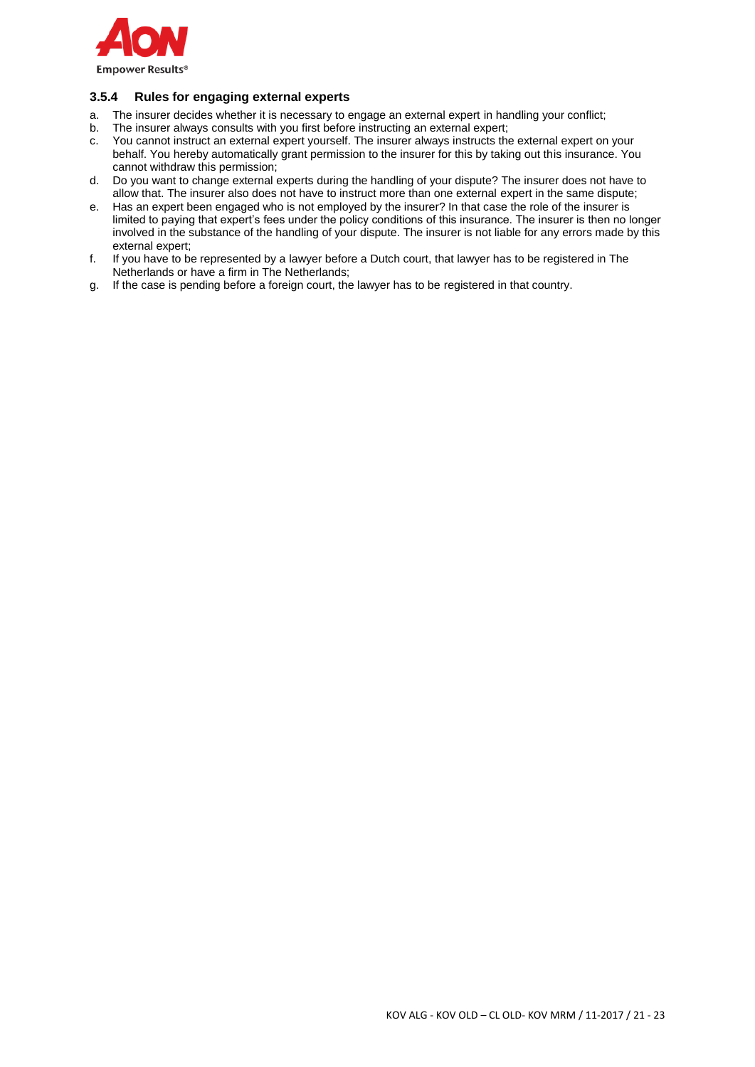

# **3.5.4 Rules for engaging external experts**

- a. The insurer decides whether it is necessary to engage an external expert in handling your conflict;
- b. The insurer always consults with you first before instructing an external expert;
- c. You cannot instruct an external expert yourself. The insurer always instructs the external expert on your behalf. You hereby automatically grant permission to the insurer for this by taking out this insurance. You cannot withdraw this permission;
- d. Do you want to change external experts during the handling of your dispute? The insurer does not have to allow that. The insurer also does not have to instruct more than one external expert in the same dispute;
- e. Has an expert been engaged who is not employed by the insurer? In that case the role of the insurer is limited to paying that expert's fees under the policy conditions of this insurance. The insurer is then no longer involved in the substance of the handling of your dispute. The insurer is not liable for any errors made by this external expert;
- f. If you have to be represented by a lawyer before a Dutch court, that lawyer has to be registered in The Netherlands or have a firm in The Netherlands;
- g. If the case is pending before a foreign court, the lawyer has to be registered in that country.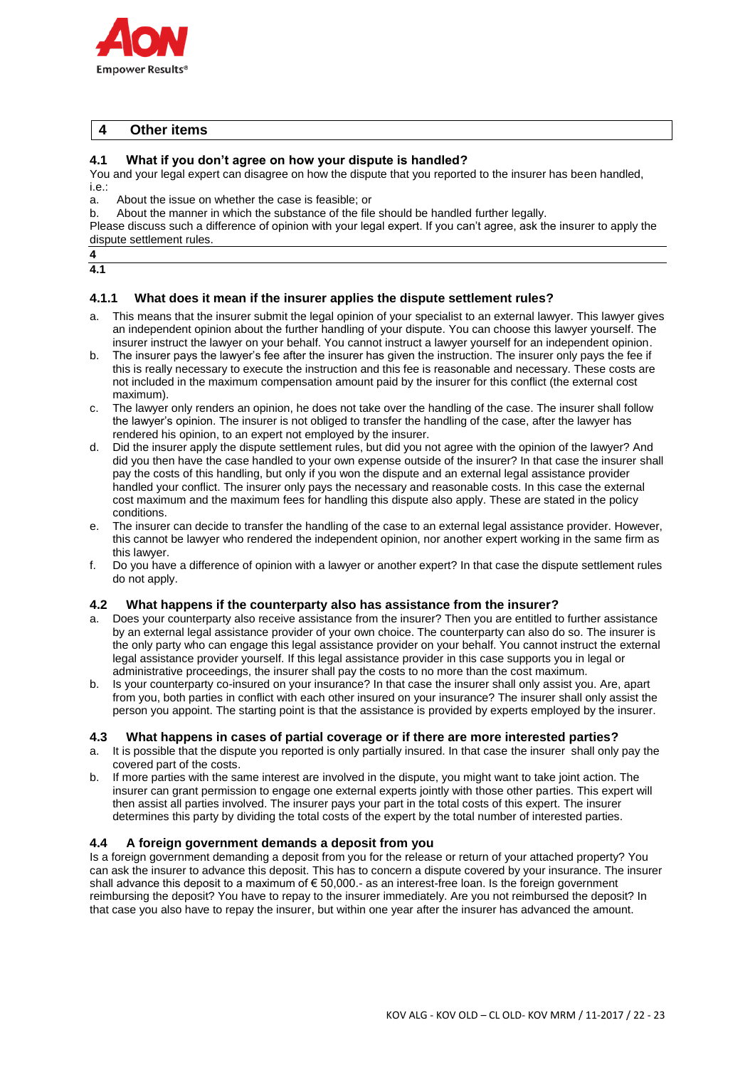

## **4 Other items**

### **4.1 What if you don't agree on how your dispute is handled?**

You and your legal expert can disagree on how the dispute that you reported to the insurer has been handled, i.e.:

a. About the issue on whether the case is feasible; or

b. About the manner in which the substance of the file should be handled further legally.

Please discuss such a difference of opinion with your legal expert. If you can't agree, ask the insurer to apply the dispute settlement rules.

# **4.1.1 What does it mean if the insurer applies the dispute settlement rules?**

- a. This means that the insurer submit the legal opinion of your specialist to an external lawyer. This lawyer gives an independent opinion about the further handling of your dispute. You can choose this lawyer yourself. The insurer instruct the lawyer on your behalf. You cannot instruct a lawyer yourself for an independent opinion.
- b. The insurer pays the lawyer's fee after the insurer has given the instruction. The insurer only pays the fee if this is really necessary to execute the instruction and this fee is reasonable and necessary. These costs are not included in the maximum compensation amount paid by the insurer for this conflict (the external cost maximum).
- c. The lawyer only renders an opinion, he does not take over the handling of the case. The insurer shall follow the lawyer's opinion. The insurer is not obliged to transfer the handling of the case, after the lawyer has rendered his opinion, to an expert not employed by the insurer.
- d. Did the insurer apply the dispute settlement rules, but did you not agree with the opinion of the lawyer? And did you then have the case handled to your own expense outside of the insurer? In that case the insurer shall pay the costs of this handling, but only if you won the dispute and an external legal assistance provider handled your conflict. The insurer only pays the necessary and reasonable costs. In this case the external cost maximum and the maximum fees for handling this dispute also apply. These are stated in the policy conditions.
- e. The insurer can decide to transfer the handling of the case to an external legal assistance provider. However, this cannot be lawyer who rendered the independent opinion, nor another expert working in the same firm as this lawyer.
- f. Do you have a difference of opinion with a lawyer or another expert? In that case the dispute settlement rules do not apply.

### **4.2 What happens if the counterparty also has assistance from the insurer?**

- a. Does your counterparty also receive assistance from the insurer? Then you are entitled to further assistance by an external legal assistance provider of your own choice. The counterparty can also do so. The insurer is the only party who can engage this legal assistance provider on your behalf. You cannot instruct the external legal assistance provider yourself. If this legal assistance provider in this case supports you in legal or administrative proceedings, the insurer shall pay the costs to no more than the cost maximum.
- b. Is your counterparty co-insured on your insurance? In that case the insurer shall only assist you. Are, apart from you, both parties in conflict with each other insured on your insurance? The insurer shall only assist the person you appoint. The starting point is that the assistance is provided by experts employed by the insurer.

### **4.3 What happens in cases of partial coverage or if there are more interested parties?**

- a. It is possible that the dispute you reported is only partially insured. In that case the insurer shall only pay the covered part of the costs.
- b. If more parties with the same interest are involved in the dispute, you might want to take joint action. The insurer can grant permission to engage one external experts jointly with those other parties. This expert will then assist all parties involved. The insurer pays your part in the total costs of this expert. The insurer determines this party by dividing the total costs of the expert by the total number of interested parties.

# **4.4 A foreign government demands a deposit from you**

Is a foreign government demanding a deposit from you for the release or return of your attached property? You can ask the insurer to advance this deposit. This has to concern a dispute covered by your insurance. The insurer shall advance this deposit to a maximum of € 50,000.- as an interest-free loan. Is the foreign government reimbursing the deposit? You have to repay to the insurer immediately. Are you not reimbursed the deposit? In that case you also have to repay the insurer, but within one year after the insurer has advanced the amount.